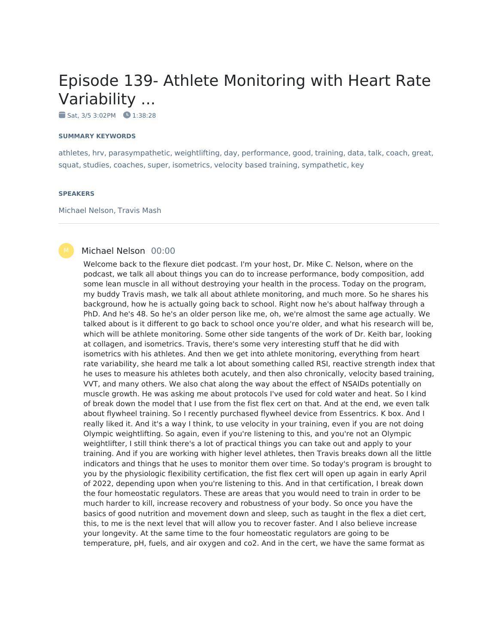# Episode 139- Athlete Monitoring with Heart Rate Variability ...

 $Sat, 3/5 3:02PM$   $1:38:28$ 

#### **SUMMARY KEYWORDS**

athletes, hrv, parasympathetic, weightlifting, day, performance, good, training, data, talk, coach, great, squat, studies, coaches, super, isometrics, velocity based training, sympathetic, key

#### **SPEAKERS**

Michael Nelson, Travis Mash

#### Michael Nelson 00:00

Welcome back to the flexure diet podcast. I'm your host, Dr. Mike C. Nelson, where on the podcast, we talk all about things you can do to increase performance, body composition, add some lean muscle in all without destroying your health in the process. Today on the program, my buddy Travis mash, we talk all about athlete monitoring, and much more. So he shares his background, how he is actually going back to school. Right now he's about halfway through a PhD. And he's 48. So he's an older person like me, oh, we're almost the same age actually. We talked about is it different to go back to school once you're older, and what his research will be, which will be athlete monitoring. Some other side tangents of the work of Dr. Keith bar, looking at collagen, and isometrics. Travis, there's some very interesting stuff that he did with isometrics with his athletes. And then we get into athlete monitoring, everything from heart rate variability, she heard me talk a lot about something called RSI, reactive strength index that he uses to measure his athletes both acutely, and then also chronically, velocity based training, VVT, and many others. We also chat along the way about the effect of NSAIDs potentially on muscle growth. He was asking me about protocols I've used for cold water and heat. So I kind of break down the model that I use from the fist flex cert on that. And at the end, we even talk about flywheel training. So I recently purchased flywheel device from Essentrics. K box. And I really liked it. And it's a way I think, to use velocity in your training, even if you are not doing Olympic weightlifting. So again, even if you're listening to this, and you're not an Olympic weightlifter, I still think there's a lot of practical things you can take out and apply to your training. And if you are working with higher level athletes, then Travis breaks down all the little indicators and things that he uses to monitor them over time. So today's program is brought to you by the physiologic flexibility certification, the fist flex cert will open up again in early April of 2022, depending upon when you're listening to this. And in that certification, I break down the four homeostatic regulators. These are areas that you would need to train in order to be much harder to kill, increase recovery and robustness of your body. So once you have the basics of good nutrition and movement down and sleep, such as taught in the flex a diet cert, this, to me is the next level that will allow you to recover faster. And I also believe increase your longevity. At the same time to the four homeostatic regulators are going to be temperature, pH, fuels, and air oxygen and co2. And in the cert, we have the same format as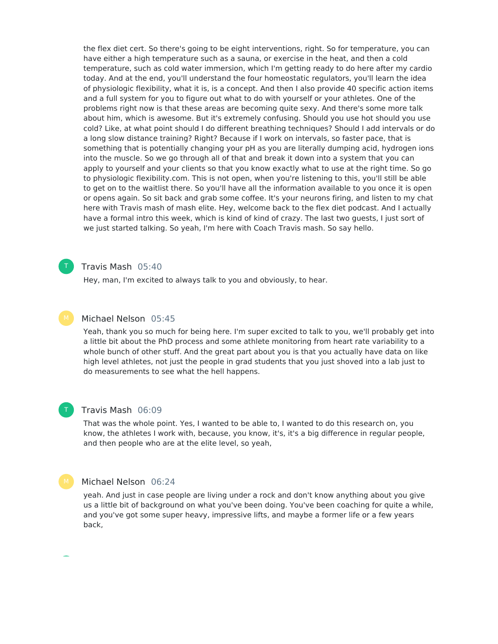the flex diet cert. So there's going to be eight interventions, right. So for temperature, you can have either a high temperature such as a sauna, or exercise in the heat, and then a cold temperature, such as cold water immersion, which I'm getting ready to do here after my cardio today. And at the end, you'll understand the four homeostatic regulators, you'll learn the idea of physiologic flexibility, what it is, is a concept. And then I also provide 40 specific action items and a full system for you to figure out what to do with yourself or your athletes. One of the problems right now is that these areas are becoming quite sexy. And there's some more talk about him, which is awesome. But it's extremely confusing. Should you use hot should you use cold? Like, at what point should I do different breathing techniques? Should I add intervals or do a long slow distance training? Right? Because if I work on intervals, so faster pace, that is something that is potentially changing your pH as you are literally dumping acid, hydrogen ions into the muscle. So we go through all of that and break it down into a system that you can apply to yourself and your clients so that you know exactly what to use at the right time. So go to physiologic flexibility.com. This is not open, when you're listening to this, you'll still be able to get on to the waitlist there. So you'll have all the information available to you once it is open or opens again. So sit back and grab some coffee. It's your neurons firing, and listen to my chat here with Travis mash of mash elite. Hey, welcome back to the flex diet podcast. And I actually have a formal intro this week, which is kind of kind of crazy. The last two guests, I just sort of we just started talking. So yeah, I'm here with Coach Travis mash. So say hello.

## Travis Mash 05:40

Hey, man, I'm excited to always talk to you and obviously, to hear.

#### Michael Nelson 05:45

Yeah, thank you so much for being here. I'm super excited to talk to you, we'll probably get into a little bit about the PhD process and some athlete monitoring from heart rate variability to a whole bunch of other stuff. And the great part about you is that you actually have data on like high level athletes, not just the people in grad students that you just shoved into a lab just to do measurements to see what the hell happens.

## T

T

#### Travis Mash 06:09

That was the whole point. Yes, I wanted to be able to, I wanted to do this research on, you know, the athletes I work with, because, you know, it's, it's a big difference in regular people, and then people who are at the elite level, so yeah,

#### Michael Nelson 06:24

yeah. And just in case people are living under a rock and don't know anything about you give us a little bit of background on what you've been doing. You've been coaching for quite a while, and you've got some super heavy, impressive lifts, and maybe a former life or a few years back,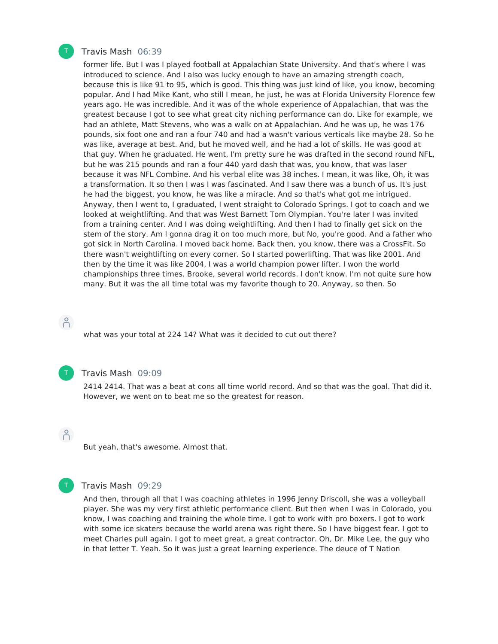

#### Travis Mash 06:39

former life. But I was I played football at Appalachian State University. And that's where I was introduced to science. And I also was lucky enough to have an amazing strength coach, because this is like 91 to 95, which is good. This thing was just kind of like, you know, becoming popular. And I had Mike Kant, who still I mean, he just, he was at Florida University Florence few years ago. He was incredible. And it was of the whole experience of Appalachian, that was the greatest because I got to see what great city niching performance can do. Like for example, we had an athlete, Matt Stevens, who was a walk on at Appalachian. And he was up, he was 176 pounds, six foot one and ran a four 740 and had a wasn't various verticals like maybe 28. So he was like, average at best. And, but he moved well, and he had a lot of skills. He was good at that guy. When he graduated. He went, I'm pretty sure he was drafted in the second round NFL, but he was 215 pounds and ran a four 440 yard dash that was, you know, that was laser because it was NFL Combine. And his verbal elite was 38 inches. I mean, it was like, Oh, it was a transformation. It so then I was I was fascinated. And I saw there was a bunch of us. It's just he had the biggest, you know, he was like a miracle. And so that's what got me intrigued. Anyway, then I went to, I graduated, I went straight to Colorado Springs. I got to coach and we looked at weightlifting. And that was West Barnett Tom Olympian. You're later I was invited from a training center. And I was doing weightlifting. And then I had to finally get sick on the stem of the story. Am I gonna drag it on too much more, but No, you're good. And a father who got sick in North Carolina. I moved back home. Back then, you know, there was a CrossFit. So there wasn't weightlifting on every corner. So I started powerlifting. That was like 2001. And then by the time it was like 2004, I was a world champion power lifter. I won the world championships three times. Brooke, several world records. I don't know. I'm not quite sure how many. But it was the all time total was my favorite though to 20. Anyway, so then. So

 $\beta$ 

what was your total at 224 14? What was it decided to cut out there?



#### Travis Mash 09:09

2414 2414. That was a beat at cons all time world record. And so that was the goal. That did it. However, we went on to beat me so the greatest for reason.

 $\beta$ 

But yeah, that's awesome. Almost that.



#### Travis Mash 09:29

And then, through all that I was coaching athletes in 1996 Jenny Driscoll, she was a volleyball player. She was my very first athletic performance client. But then when I was in Colorado, you know, I was coaching and training the whole time. I got to work with pro boxers. I got to work with some ice skaters because the world arena was right there. So I have biggest fear. I got to meet Charles pull again. I got to meet great, a great contractor. Oh, Dr. Mike Lee, the guy who in that letter T. Yeah. So it was just a great learning experience. The deuce of T Nation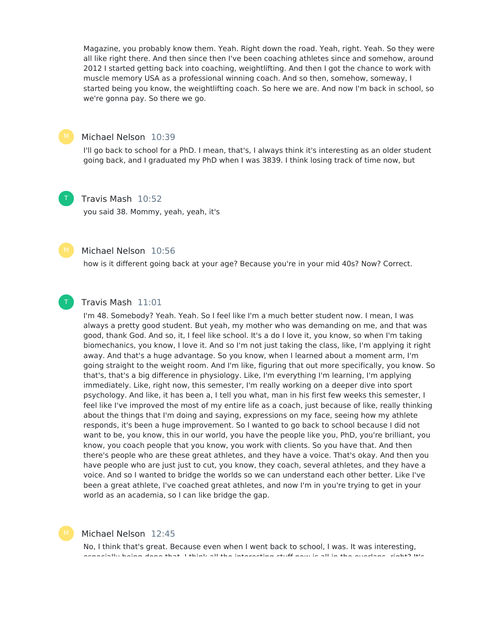Magazine, you probably know them. Yeah. Right down the road. Yeah, right. Yeah. So they were all like right there. And then since then I've been coaching athletes since and somehow, around 2012 I started getting back into coaching, weightlifting. And then I got the chance to work with muscle memory USA as a professional winning coach. And so then, somehow, someway, I started being you know, the weightlifting coach. So here we are. And now I'm back in school, so we're gonna pay. So there we go.



#### Michael Nelson 10:39

I'll go back to school for a PhD. I mean, that's, I always think it's interesting as an older student going back, and I graduated my PhD when I was 3839. I think losing track of time now, but

#### T

Travis Mash 10:52

you said 38. Mommy, yeah, yeah, it's



T

#### Michael Nelson 10:56

how is it different going back at your age? Because you're in your mid 40s? Now? Correct.

#### Travis Mash 11:01

I'm 48. Somebody? Yeah. Yeah. So I feel like I'm a much better student now. I mean, I was always a pretty good student. But yeah, my mother who was demanding on me, and that was good, thank God. And so, it, I feel like school. It's a do I love it, you know, so when I'm taking biomechanics, you know, I love it. And so I'm not just taking the class, like, I'm applying it right away. And that's a huge advantage. So you know, when I learned about a moment arm, I'm going straight to the weight room. And I'm like, figuring that out more specifically, you know. So that's, that's a big difference in physiology. Like, I'm everything I'm learning, I'm applying immediately. Like, right now, this semester, I'm really working on a deeper dive into sport psychology. And like, it has been a, I tell you what, man in his first few weeks this semester, I feel like I've improved the most of my entire life as a coach, just because of like, really thinking about the things that I'm doing and saying, expressions on my face, seeing how my athlete responds, it's been a huge improvement. So I wanted to go back to school because I did not want to be, you know, this in our world, you have the people like you, PhD, you're brilliant, you know, you coach people that you know, you work with clients. So you have that. And then there's people who are these great athletes, and they have a voice. That's okay. And then you have people who are just just to cut, you know, they coach, several athletes, and they have a voice. And so I wanted to bridge the worlds so we can understand each other better. Like I've been a great athlete, I've coached great athletes, and now I'm in you're trying to get in your world as an academia, so I can like bridge the gap.

#### Michael Nelson 12:45

No, I think that's great. Because even when I went back to school, I was. It was interesting, especially being done that. I think all the interesting stuff now is all in the overlaps, right? It's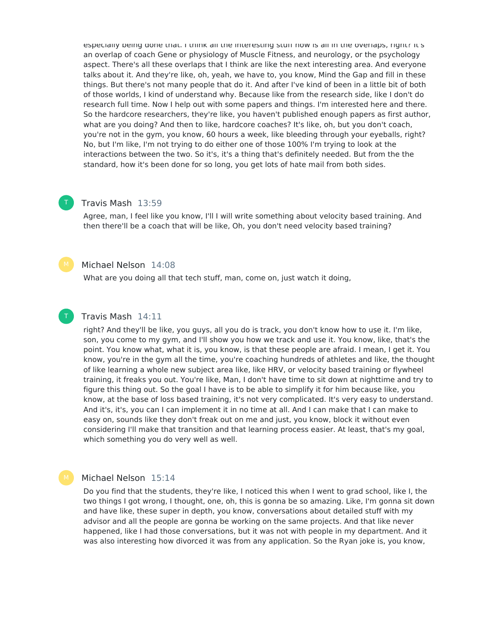especially being done that. I think all the interesting stuff now is all in the overlaps, right? It's an overlap of coach Gene or physiology of Muscle Fitness, and neurology, or the psychology aspect. There's all these overlaps that I think are like the next interesting area. And everyone talks about it. And they're like, oh, yeah, we have to, you know, Mind the Gap and fill in these things. But there's not many people that do it. And after I've kind of been in a little bit of both of those worlds, I kind of understand why. Because like from the research side, like I don't do research full time. Now Ihelp out with some papers and things. I'm interested here and there. So the hardcore researchers, they're like, you haven't published enough papers as first author, what are you doing? And then to like, hardcore coaches? It's like, oh, but you don't coach, you're not in the gym, you know, 60 hours a week, like bleeding through your eyeballs, right? No, but I'm like, I'm not trying to do either one of those 100% I'm trying to look at the interactions between the two. So it's, it's a thing that's definitely needed. But from the the standard, how it's been done for so long, you get lots of hate mail from both sides.

#### Travis Mash 13:59

Agree, man, I feel like you know, I'll I will write something about velocity based training. And then there'll be a coach that will be like, Oh, you don't need velocity based training?

#### Michael Nelson 14:08

What are you doing all that tech stuff, man, come on, just watch it doing,



T

#### Travis Mash 14:11

right? And they'll be like, you guys, all you do is track, you don't know how to use it. I'm like, son, you come to my gym, and I'll show you how we track and use it. You know, like, that's the point. You know what, what it is, you know, is that these people are afraid. I mean, I get it. You know, you're in the gym all the time, you're coaching hundreds of athletes and like, the thought of like learning a whole new subject area like, like HRV, or velocity based training or flywheel training, it freaks you out. You're like, Man, I don't have time to sit down at nighttime and try to figure this thing out. So the goal I have is to be able to simplify it for him because like, you know, at the base of loss based training, it's not very complicated. It's very easy to understand. And it's, it's, you can I can implement it in no time at all. And I can make that I can make to easy on, sounds like they don't freak out on me and just, you know, block it without even considering I'll make that transition and that learning process easier. At least, that's my goal, which something you do very well as well.

#### Michael Nelson 15:14

Do you find that the students, they're like, I noticed this when I went to grad school, like I, the two things I got wrong, I thought, one, oh, this is gonna be so amazing. Like, I'm gonna sit down and have like, these super in depth, you know, conversations about detailed stuff with my advisor and all the people are gonna be working on the same projects. And that like never happened, like I had those conversations, but it was not with people in my department. And it was also interesting how divorced it was from any application. So the Ryan joke is, you know,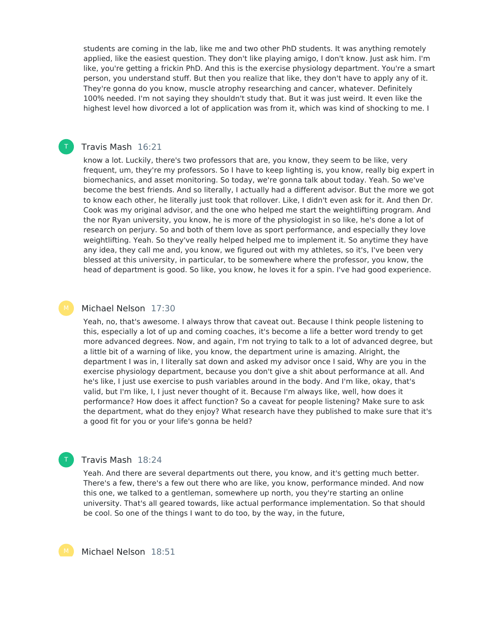students are coming in the lab, like me and two other PhD students. It was anything remotely applied, like the easiest question. They don't like playing amigo, I don't know. Just ask him. I'm like, you're getting a frickin PhD. And this is the exercise physiology department. You're a smart person, you understand stuff. But then you realize that like, they don't have to apply any of it. They're gonna do you know, muscle atrophy researching and cancer, whatever. Definitely 100% needed. I'm not saying they shouldn't study that. But it was just weird. It even like the highest level how divorced a lot of application was from it, which was kind of shocking to me. I

#### Travis Mash 16:21

T

know a lot. Luckily, there's two professors that are, you know, they seem to be like, very frequent, um, they're my professors. So I have to keep lighting is, you know, really big expert in biomechanics, and asset monitoring. So today, we're gonna talk about today. Yeah. So we've become the best friends. And so literally, I actually had a different advisor. But the more we got to know each other, he literally just took that rollover. Like, I didn't even ask for it. And then Dr. Cook was my original advisor, and the one who helped me start the weightlifting program. And the nor Ryan university, you know, he is more of the physiologist in so like, he's done a lot of research on perjury. So and both of them love as sport performance, and especially they love weightlifting. Yeah. So they've really helped helped me to implement it. So anytime they have any idea, they call me and, you know, we figured out with my athletes, so it's, I've been very blessed at this university, in particular, to be somewhere where the professor, you know, the head of department is good. So like, you know, he loves it for a spin. I've had good experience.

#### Michael Nelson 17:30

Yeah, no, that's awesome. I always throw that caveat out. Because I think people listening to this, especially a lot of up and coming coaches, it's become a life a better word trendy to get more advanced degrees. Now, and again, I'm not trying to talk to a lot of advanced degree, but a little bit of a warning of like, you know, the department urine is amazing. Alright, the department I was in, I literally sat down and asked my advisor once I said, Why are you in the exercise physiology department, because you don't give a shit about performance at all. And he's like, I just use exercise to push variables around in the body. And I'm like, okay, that's valid, but I'm like, I, I just never thought of it. Because I'm always like, well, how does it performance? How does it affect function? So a caveat for people listening? Make sure to ask the department, what do they enjoy? What research have they published to make sure that it's a good fit for you or your life's gonna be held?

## Travis Mash 18:24

T

Yeah. And there are several departments out there, you know, and it's getting much better. There's a few, there's a few out there who are like, you know, performance minded. And now this one, we talked to a gentleman, somewhere up north, you they're starting an online university. That's all geared towards, like actual performance implementation. So that should be cool. So one of the things I want to do too, by the way, in the future,

Michael Nelson 18:51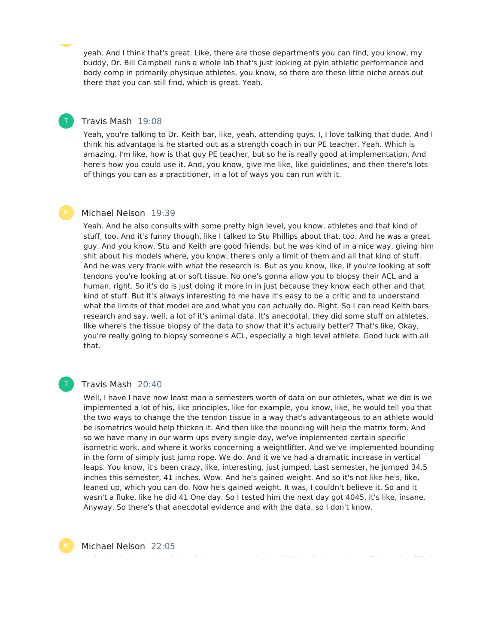yeah. And I think that's great. Like, there are those departments you can find, you know, my buddy, Dr. Bill Campbell runs a whole lab that's just looking at pyin athletic performance and body comp in primarily physique athletes, you know, so there are these little niche areas out there that you can still find, which is great. Yeah.

#### Travis Mash 19:08

T

Yeah, you're talking to Dr. Keith bar, like, yeah, attending guys. I, I love talking that dude. And I think his advantage is he started out as a strength coach in our PE teacher. Yeah. Which is amazing. I'm like, how is that guy PE teacher, but so he is really good at implementation. And here's how you could use it. And, you know, give me like, like guidelines, and then there's lots of things you can as a practitioner, in a lot of ways you can run with it.

#### Michael Nelson 19:39

Yeah. And he also consults with some pretty high level, you know, athletes and that kind of stuff, too. And it's funny though, like I talked to Stu Phillips about that, too. And he was a great guy. And you know, Stu and Keith are good friends, but he was kind of in a nice way, giving him shit about his models where, you know, there's only a limit of them and all that kind of stuff. And he was very frank with what the research is. But as you know, like, if you're looking at soft tendons you're looking at or soft tissue. No one's gonna allow you to biopsy their ACL and a human, right. So it's do is just doing it more in in just because they know each other and that kind of stuff. But it's always interesting to me have it's easy to be a critic and to understand what the limits of that model are and what you can actually do. Right. So I can read Keith bars research and say, well, a lot of it's animal data. It's anecdotal, they did some stuff on athletes, like where's the tissue biopsy of the data to show that it's actually better? That's like, Okay, you're really going to biopsy someone's ACL, especially a high level athlete. Good luck with all that.

#### Travis Mash 20:40

T

Well, I have I have now least man a semesters worth of data on our athletes, what we did is we implemented a lot of his, like principles, like for example, you know, like, he would tell you that the two ways to change the the tendon tissue in a way that's advantageous to an athlete would be isometrics would help thicken it. And then like the bounding will help the matrix form. And so we have many in our warm ups every single day, we've implemented certain specific isometric work, and where it works concerning a weightlifter. And we've implemented bounding in the form of simply just jump rope. We do. And it we've had a dramatic increase in vertical leaps. You know, it's been crazy, like, interesting, just jumped. Last semester, he jumped 34.5 inches this semester, 41 inches. Wow. And he's gained weight. And so it's not like he's, like, leaned up, which you can do. Now he's gained weight. It was, I couldn't believe it. So and it wasn't a fluke, like he did 41 One day. So I tested him the next day got 4045. It's like, insane. Anyway. So there's that anecdotal evidence and with the data, so I don't know.

Michael Nelson 22:05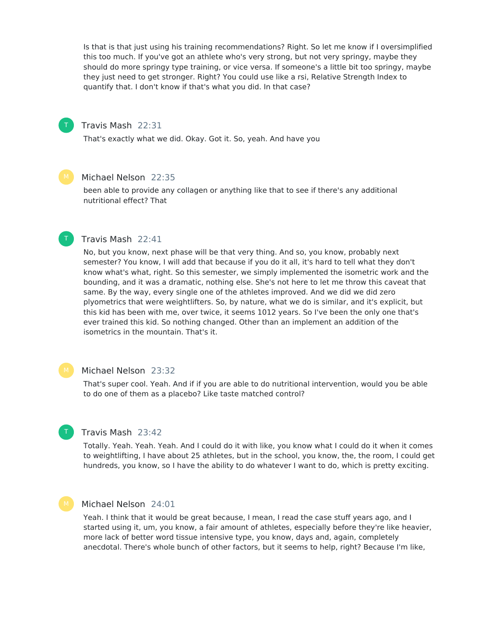Is that is that just using his training recommendations? Right. So let me know if I oversimplified this too much. If you've got an athlete who's very strong, but not very springy, maybe they should do more springy type training, or vice versa. If someone's a little bit too springy, maybe they just need to get stronger. Right? You could use like a rsi, Relative Strength Index to quantify that. I don't know if that's what you did. In that case?

#### Travis Mash 22:31

That's exactly what we did. Okay. Got it. So, yeah. And have you

### Michael Nelson 22:35

been able to provide any collagen or anything like that to see if there's any additional nutritional effect? That

#### Travis Mash 22:41

T

No, but you know, next phase will be that very thing. And so, you know, probably next semester? You know, I will add that because if you do it all, it's hard to tell what they don't know what's what, right. So this semester, we simply implemented the isometric work and the bounding, and it was a dramatic, nothing else. She's not here to let me throw this caveat that same. By the way, every single one of the athletes improved. And we did we did zero plyometrics that were weightlifters. So, by nature, what we do is similar, and it's explicit, but this kid has been with me, over twice, it seems 1012 years. So I've been the only one that's ever trained this kid. So nothing changed. Other than an implement an addition of the isometrics in the mountain. That's it.

#### Michael Nelson 23:32

That's super cool. Yeah. And if if you are able to do nutritional intervention, would you be able to do one of them as a placebo? Like taste matched control?

#### Travis Mash 23:42

Totally. Yeah. Yeah. Yeah. And I could do it with like, you know what I could do it when it comes to weightlifting, I have about 25 athletes, but in the school, you know, the, the room, I could get hundreds, you know, so I have the ability to do whatever I want to do, which is pretty exciting.

T

#### Michael Nelson 24:01

Yeah. I think that it would be great because, I mean, I read the case stuff years ago, and I started using it, um, you know, a fair amount of athletes, especially before they're like heavier, more lack of better word tissue intensive type, you know, days and, again, completely anecdotal. There's whole bunch of other factors, but it seems to help, right? Because I'm like,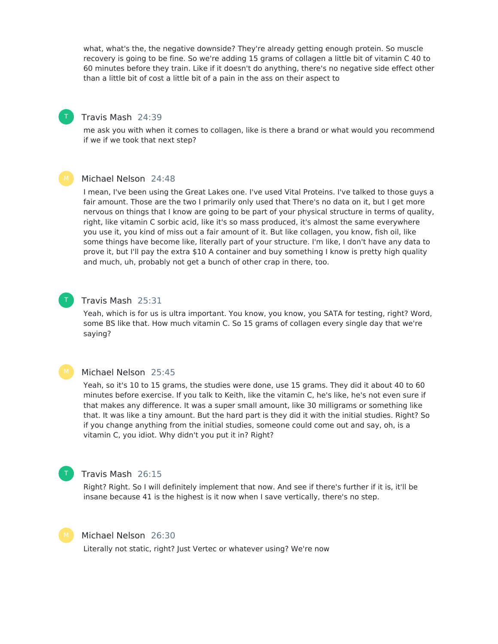what, what's the, the negative downside? They're already getting enough protein. So muscle recovery is going to be fine. So we're adding 15 grams of collagen a little bit of vitamin C 40 to 60 minutes before they train. Like if it doesn't do anything, there's no negative side effect other than a little bit of cost a little bit of a pain in the ass on their aspect to

#### Travis Mash 24:39

T

T

me ask you with when it comes to collagen, like is there a brand or what would you recommend if we if we took that next step?

#### Michael Nelson 24:48

I mean, I've been using the Great Lakes one. I've used Vital Proteins. I've talked to those guys a fair amount. Those are the two I primarily only used that There's no data on it, but I get more nervous on things that I know are going to be part of your physical structure in terms of quality, right, like vitamin C sorbic acid, like it's so mass produced, it's almost the same everywhere you use it, you kind of miss out a fair amount of it. But like collagen, you know, fish oil, like some things have become like, literally part of your structure. I'm like, I don't have any data to prove it, but I'll pay the extra \$10 A container and buy something I know is pretty high quality and much, uh, probably not get a bunch of other crap in there, too.

## Travis Mash 25:31

Yeah, which is for us is ultra important. You know, you know, you SATA for testing, right? Word, some BS like that. How much vitamin C. So 15 grams of collagen every single day that we're saying?

#### Michael Nelson 25:45

Yeah, so it's 10 to 15 grams, the studies were done, use 15 grams. They did it about 40 to 60 minutes before exercise. If you talk to Keith, like the vitamin C, he's like, he's not even sure if that makes any difference. It was a super small amount, like 30 milligrams or something like that. It was like a tiny amount. But the hard part is they did it with the initial studies. Right? So if you change anything from the initial studies, someone could come out and say, oh, is a vitamin C, you idiot. Why didn't you put it in? Right?

## Travis Mash 26:15

Right? Right. So I will definitely implement that now. And see if there's further if it is, it'll be insane because 41 is the highest is it now when I save vertically, there's no step.



T

#### Michael Nelson 26:30

Literally not static, right? Just Vertec or whatever using? We're now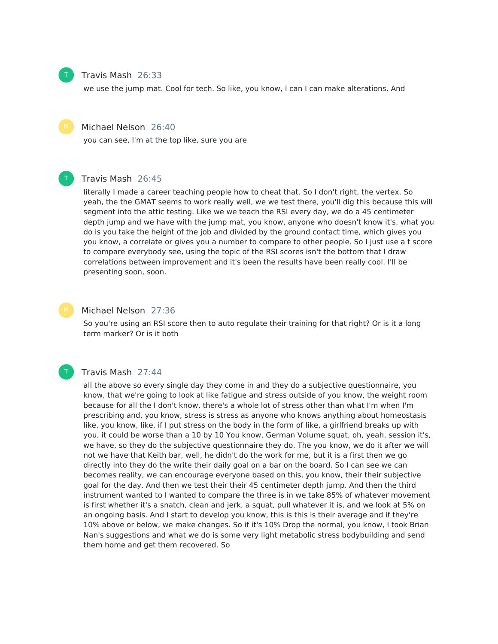

## Travis Mash 26:33

we use the jump mat. Cool for tech. So like, you know, I can I can make alterations. And



T

T

#### Michael Nelson 26:40

you can see, I'm at the top like, sure you are

#### Travis Mash 26:45

literally I made a career teaching people how to cheat that. So I don't right, the vertex. So yeah, the the GMAT seems to work really well, we we test there, you'll dig this because this will segment into the attic testing. Like we we teach the RSI every day, we do a 45 centimeter depth jump and we have with the jump mat, you know, anyone who doesn't know it's, what you do is you take the height of the job and divided by the ground contact time, which gives you you know, a correlate or gives you a number to compare to other people. So I just use a t score to compare everybody see, using the topic of the RSI scores isn't the bottom that I draw correlations between improvement and it's been the results have been really cool. I'll be presenting soon, soon.

#### Michael Nelson 27:36

So you're using an RSI score then to auto regulate their training for that right? Or is it a long term marker? Or is it both

#### Travis Mash 27:44

all the above so every single day they come in and they do a subjective questionnaire, you know, that we're going to look at like fatigue and stress outside of you know, the weight room because for all the I don't know, there's a whole lot of stress other than what I'm when I'm prescribing and, you know, stress is stress as anyone who knows anything about homeostasis like, you know, like, if I put stress on the body in the form of like, a girlfriend breaks up with you, it could be worse than a 10 by 10 You know, German Volume squat, oh, yeah, session it's, we have, so they do the subjective questionnaire they do. The you know, we do it after we will not we have that Keith bar, well, he didn't do the work for me, but it is a first then we go directly into they do the write their daily goal on a bar on the board. So I can see we can becomes reality, we can encourage everyone based on this, you know, their their subjective goal for the day. And then we test their their 45 centimeter depth jump. And then the third instrument wanted to I wanted to compare the three is in we take 85% of whatever movement is first whether it's a snatch, clean and jerk, a squat, pull whatever it is, and we look at 5% on an ongoing basis. And I start to develop you know, this is this is their average and if they're 10% above or below, we make changes. So if it's 10% Drop the normal, you know, I took Brian Nan's suggestions and what we do is some very light metabolic stress bodybuilding and send them home and get them recovered. So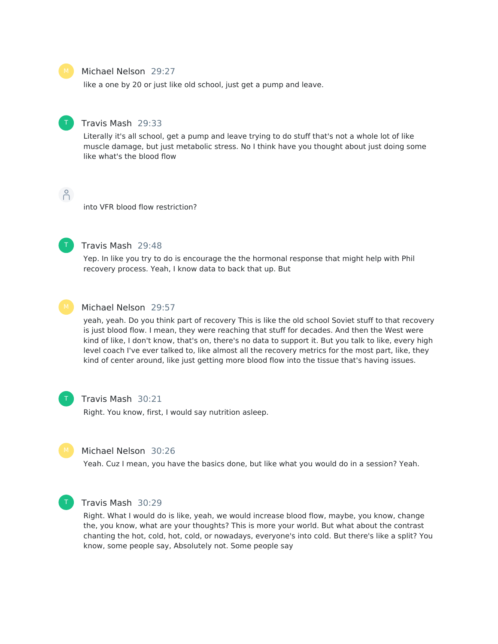#### Michael Nelson 29:27

like a one by 20 or just like old school, just get a pump and leave.



#### Travis Mash 29:33

Literally it's all school, get a pump and leave trying to do stuff that's not a whole lot of like muscle damage, but just metabolic stress. No I think have you thought about just doing some like what's the blood flow

 $\bigcap^{\circ}$ 

into VFR blood flow restriction?



#### Travis Mash 29:48

Yep. In like you try to do is encourage the the hormonal response that might help with Phil recovery process. Yeah, I know data to back that up. But



#### Michael Nelson 29:57

yeah, yeah. Do you think part of recovery This is like the old school Soviet stuff to that recovery is just blood flow. I mean, they were reaching that stuff for decades. And then the West were kind of like, I don't know, that's on, there's no data to support it. But you talk to like, every high level coach I've ever talked to, like almost all the recovery metrics for the most part, like, they kind of center around, like just getting more blood flow into the tissue that's having issues.



#### Travis Mash 30:21

Right. You know, first, I would say nutrition asleep.



#### Michael Nelson 30:26

Yeah. Cuz I mean, you have the basics done, but like what you would do in a session? Yeah.



### Travis Mash 30:29

Right. What I would do is like, yeah, we would increase blood flow, maybe, you know, change the, you know, what are your thoughts? This is more your world. But what about the contrast chanting the hot, cold, hot, cold, or nowadays, everyone's into cold. But there's like a split? You know, some people say, Absolutely not. Some people say

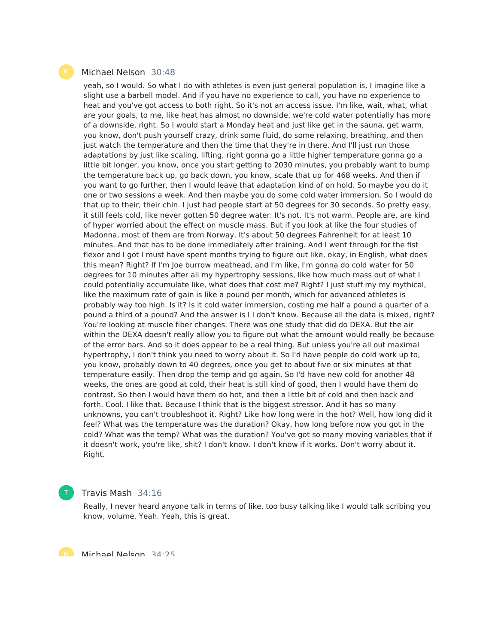#### Michael Nelson 30:48

yeah, so I would. So what I do with athletes is even just general population is, I imagine like a slight use a barbell model. And if you have no experience to call, you have no experience to heat and you've got access to both right. So it's not an access issue. I'm like, wait, what, what are your goals, to me, like heat has almost no downside, we're cold water potentially has more of a downside, right. So I would start a Monday heat and just like get in the sauna, get warm, you know, don't push yourself crazy, drink some fluid, do some relaxing, breathing, and then just watch the temperature and then the time that they're in there. And I'll just run those adaptations by just like scaling, lifting, right gonna go a little higher temperature gonna go a little bit longer, you know, once you start getting to 2030 minutes, you probably want to bump the temperature back up, go back down, you know, scale that up for 468 weeks. And then if you want to go further, then I would leave that adaptation kind of on hold. So maybe you do it one or two sessions a week. And then maybe you do some cold water immersion. So I would do that up to their, their chin. I just had people start at 50 degrees for 30 seconds. So pretty easy, it still feels cold, like never gotten 50 degree water. It's not. It's not warm. People are, are kind of hyper worried about the effect on muscle mass. But if you look at like the four studies of Madonna, most of them are from Norway. It's about 50 degrees Fahrenheit for at least 10 minutes. And that has to be done immediately after training. And I went through for the fist flexor and I got I must have spent months trying to figure out like, okay, in English, what does this mean? Right? If I'm Joe burrow meathead, and I'm like, I'm gonna do cold water for 50 degrees for 10 minutes after all my hypertrophy sessions, like how much mass out of what I could potentially accumulate like, what does that cost me? Right? I just stuff my my mythical, like the maximum rate of gain is like a pound per month, which for advanced athletes is probably way too high. Is it? Is it cold water immersion, costing me half a pound a quarter of a pound a third of a pound? And the answer is I I don't know. Because all the data is mixed, right? You're looking at muscle fiber changes. There was one study that did do DEXA. But the air within the DEXA doesn't really allow you to figure out what the amount would really be because of the error bars. And so it does appear to be a real thing. But unless you're all out maximal hypertrophy, I don't think you need to worry about it. So I'd have people do cold work up to, you know, probably down to 40 degrees, once you get to about five or six minutes at that temperature easily. Then drop the temp and go again. So I'd have new cold for another 48 weeks, the ones are good at cold, their heat is still kind of good, then I would have them do contrast. So then I would have them do hot, and then a little bit of cold and then back and forth. Cool. I like that. Because I think that is the biggest stressor. And it has so many unknowns, you can't troubleshoot it. Right? Like how long were in the hot? Well, how long did it feel? What was the temperature was the duration? Okay, how long before now you got in the cold? What was the temp? What was the duration? You've got so many moving variables that if it doesn't work, you're like, shit? I don't know. I don't know if it works. Don't worry about it. Right.

#### T

## Travis Mash 34:16

Really, I never heard anyone talk in terms of like, too busy talking like I would talk scribing you know, volume. Yeah. Yeah, this is great.

M Michael Nelson 34.25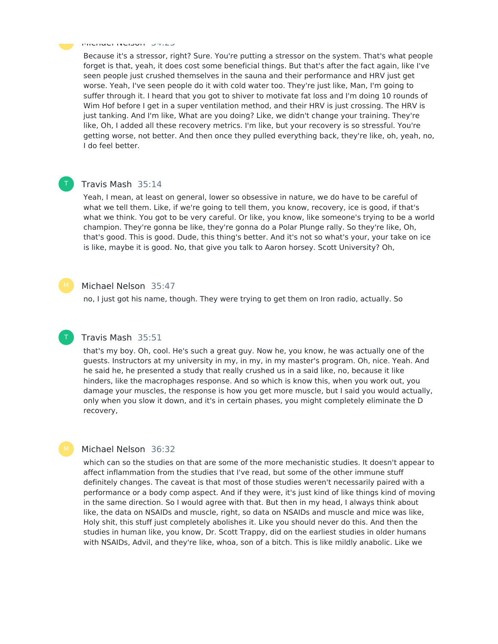Michael Nelson 34:25

Because it's a stressor, right? Sure. You're putting a stressor on the system. That's what people forget is that, yeah, it does cost some beneficial things. But that's after the fact again, like I've seen people just crushed themselves in the sauna and their performance and HRV just get worse. Yeah, I've seen people do it with cold water too. They're just like, Man, I'm going to suffer through it. I heard that you got to shiver to motivate fat loss and I'm doing 10 rounds of Wim Hof before I get in a super ventilation method, and their HRV is just crossing. The HRV is just tanking. And I'm like, What are you doing? Like, we didn't change your training. They're like, Oh, I added all these recovery metrics. I'm like, but your recovery is so stressful. You're getting worse, not better. And then once they pulled everything back, they're like, oh, yeah, no, I do feel better.

#### Travis Mash 35:14

Yeah, I mean, at least on general, lower so obsessive in nature, we do have to be careful of what we tell them. Like, if we're going to tell them, you know, recovery, ice is good, if that's what we think. You got to be very careful. Or like, you know, like someone's trying to be a world champion. They're gonna be like, they're gonna do a Polar Plunge rally. So they're like, Oh, that's good. This is good. Dude, this thing's better. And it's not so what's your, your take on ice is like, maybe it is good. No, that give you talk to Aaron horsey. Scott University? Oh,

#### Michael Nelson 35:47

no, I just got his name, though. They were trying to get them on Iron radio, actually. So

#### Travis Mash 35:51

that's my boy. Oh, cool. He's such a great guy. Now he, you know, he was actually one of the guests. Instructors at my university in my, in my, in my master's program. Oh, nice. Yeah. And he said he, he presented a study that really crushed us in a said like, no, because it like hinders, like the macrophages response. And so which is know this, when you work out, you damage your muscles, the response is how you get more muscle, but I said you would actually, only when you slow it down, and it's in certain phases, you might completely eliminate the D recovery,

#### Michael Nelson 36:32

which can so the studies on that are some of the more mechanistic studies. It doesn't appear to affect inflammation from the studies that I've read, but some of the other immune stuff definitely changes. The caveat is that most of those studies weren't necessarily paired with a performance or a body comp aspect. And if they were, it's just kind of like things kind of moving in the same direction. So I would agree with that. But then in my head, I always think about like, the data on NSAIDs and muscle, right, so data on NSAIDs and muscle and mice was like, Holy shit, this stuff just completely abolishes it. Like you should never do this. And then the studies in human like, you know, Dr. Scott Trappy, did on the earliest studies in older humans with NSAIDs, Advil, and they're like, whoa, son of a bitch. This is like mildly anabolic. Like we



T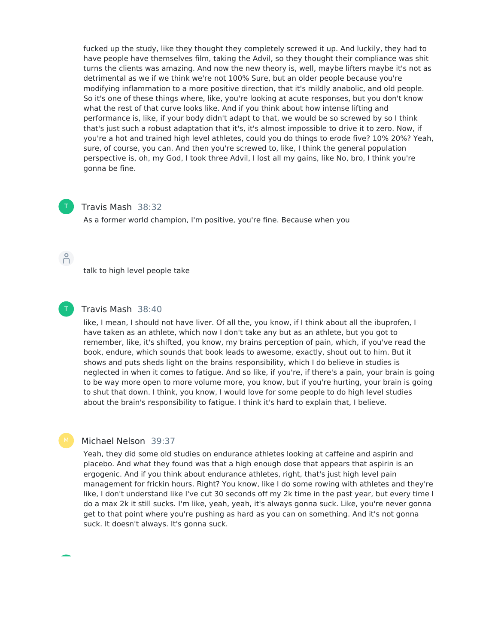fucked up the study, like they thought they completely screwed it up. And luckily, they had to have people have themselves film, taking the Advil, so they thought their compliance was shit turns the clients was amazing. And now the new theory is, well, maybe lifters maybe it's not as detrimental as we if we think we're not 100% Sure, but an older people because you're modifying inflammation to a more positive direction, that it's mildly anabolic, and old people. So it's one of these things where, like, you're looking at acute responses, but you don't know what the rest of that curve looks like. And if you think about how intense lifting and performance is, like, if your body didn't adapt to that, we would be so screwed by so I think that's just such a robust adaptation that it's, it's almost impossible to drive it to zero. Now, if you're a hot and trained high level athletes, could you do things to erode five? 10% 20%? Yeah, sure, of course, you can. And then you're screwed to, like, I think the general population perspective is, oh, my God, I took three Advil, I lost all my gains, like No, bro, I think you're gonna be fine.



#### Travis Mash 38:32

As a former world champion, I'm positive, you're fine. Because when you

 $\beta$ 

T

talk to high level people take

#### Travis Mash 38:40

like, I mean, I should not have liver. Of all the, you know, if I think about all the ibuprofen, I have taken as an athlete, which now I don't take any but as an athlete, but you got to remember, like, it's shifted, you know, my brains perception of pain, which, if you've read the book, endure, which sounds that book leads to awesome, exactly, shout out to him. But it shows and puts sheds light on the brains responsibility, which I do believe in studies is neglected in when it comes to fatigue. And so like, if you're, if there's a pain, your brain is going to be way more open to more volume more, you know, but if you're hurting, your brain is going to shut that down. I think, you know, I would love for some people to do high level studies about the brain's responsibility to fatigue. I think it's hard to explain that, I believe.

#### Michael Nelson 39:37

Yeah, they did some old studies on endurance athletes looking at caffeine and aspirin and placebo. And what they found was that a high enough dose that appears that aspirin is an ergogenic. And if you think about endurance athletes, right, that's just high level pain management for frickin hours. Right? You know, like I do some rowing with athletes and they're like, I don't understand like I've cut 30 seconds off my 2k time in the past year, but every time I do a max 2k it still sucks. I'm like, yeah, yeah, it's always gonna suck. Like, you're never gonna get to that point where you're pushing as hard as you can on something. And it's not gonna suck. It doesn't always. It's gonna suck.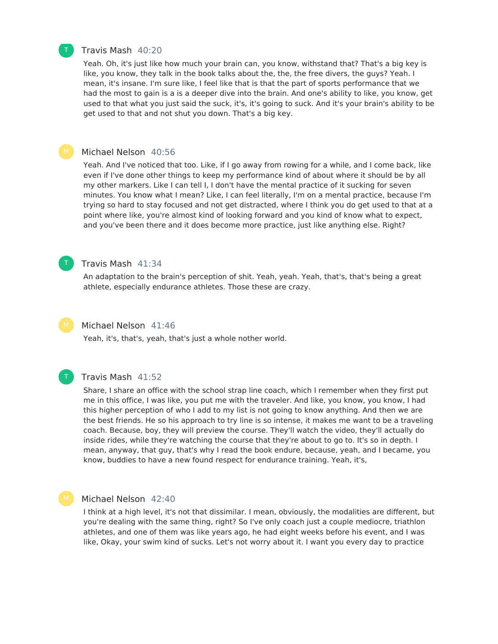

#### Travis Mash 40:20

Yeah. Oh, it's just like how much your brain can, you know, withstand that? That's a big key is like, you know, they talk in the book talks about the, the, the free divers, the guys? Yeah. I mean, it's insane. I'm sure like, I feel like that is that the part of sports performance that we had the most to gain is a is a deeper dive into the brain. And one's ability to like, you know, get used to that what you just said the suck, it's, it's going to suck. And it's your brain's ability to be get used to that and not shut you down. That's a big key.

#### Michael Nelson 40:56

Yeah. And I've noticed that too. Like, if I go away from rowing for a while, and I come back, like even if I've done other things to keep my performance kind of about where it should be by all my other markers. Like I can tell I, I don't have the mental practice of it sucking for seven minutes. You know what I mean? Like, I can feel literally, I'm on a mental practice, because I'm trying so hard to stay focused and not get distracted, where I think you do get used to that at a point where like, you're almost kind of looking forward and you kind of know what to expect, and you've been there and it does become more practice, just like anything else. Right?



### Travis Mash 41:34

An adaptation to the brain's perception of shit. Yeah, yeah. Yeah, that's, that's being a great athlete, especially endurance athletes. Those these are crazy.

#### Michael Nelson 41:46

Yeah, it's, that's, yeah, that's just a whole nother world.

## T

#### Travis Mash 41:52

Share, I share an office with the school strap line coach, which I remember when they first put me in this office, I was like, you put me with the traveler. And like, you know, you know, I had this higher perception of who I add to my list is not going to know anything. And then we are the best friends. He so his approach to try line is so intense, it makes me want to be a traveling coach. Because, boy, they will preview the course. They'll watch the video, they'll actually do inside rides, while they're watching the course that they're about to go to. It's so in depth. I mean, anyway, that guy, that's why I read the book endure, because, yeah, and I became, you know, buddies to have a new found respect for endurance training. Yeah, it's,

#### Michael Nelson 42:40

I think at a high level, it's not that dissimilar. I mean, obviously, the modalities are different, but you're dealing with the same thing, right? So I've only coach just a couple mediocre, triathlon athletes, and one of them was like years ago, he had eight weeks before his event, and I was like, Okay, your swim kind of sucks. Let's not worry about it. I want you every day to practice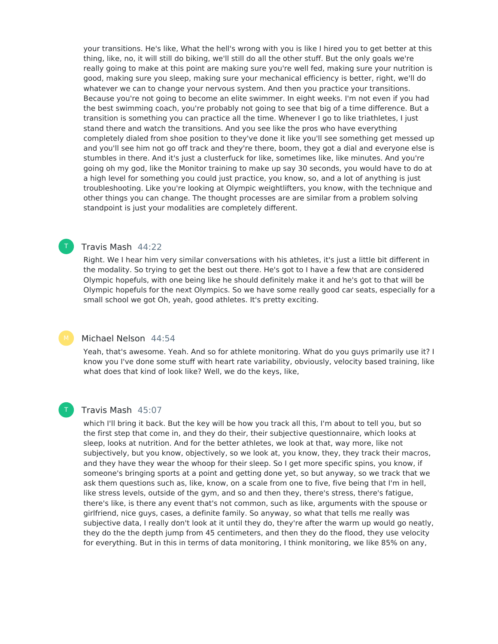your transitions. He's like, What the hell's wrong with you is like I hired you to get better at this thing, like, no, it will still do biking, we'll still do all the other stuff. But the only goals we're really going to make at this point are making sure you're well fed, making sure your nutrition is good, making sure you sleep, making sure your mechanical efficiency is better, right, we'll do whatever we can to change your nervous system. And then you practice your transitions. Because you're not going to become an elite swimmer. In eight weeks. I'm not even if you had the best swimming coach, you're probably not going to see that big of a time difference. But a transition is something you can practice all the time. Whenever I go to like triathletes, I just stand there and watch the transitions. And you see like the pros who have everything completely dialed from shoe position to they've done it like you'll see something get messed up and you'll see him not go off track and they're there, boom, they got a dial and everyone else is stumbles in there. And it's just a clusterfuck for like, sometimes like, like minutes. And you're going oh my god, like the Monitor training to make up say 30 seconds, you would have to do at a high level for something you could just practice, you know, so, and a lot of anything is just troubleshooting. Like you're looking at Olympic weightlifters, you know, with the technique and other things you can change. The thought processes are are similar from a problem solving standpoint is just your modalities are completely different.

#### Travis Mash 44:22

T

T

Right. We I hear him very similar conversations with his athletes, it's just a little bit different in the modality. So trying to get the best out there. He's got to I have a few that are considered Olympic hopefuls, with one being like he should definitely make it and he's got to that will be Olympic hopefuls for the next Olympics. So we have some really good car seats, especially for a small school we got Oh, yeah, good athletes. It's pretty exciting.

#### Michael Nelson 44:54

Yeah, that's awesome. Yeah. And so for athlete monitoring. What do you guys primarily use it? I know you I've done some stuff with heart rate variability, obviously, velocity based training, like what does that kind of look like? Well, we do the keys, like,

#### Travis Mash 45:07

which I'll bring it back. But the key will be how you track all this, I'm about to tell you, but so the first step that come in, and they do their, their subjective questionnaire, which looks at sleep, looks at nutrition. And for the better athletes, we look at that, way more, like not subjectively, but you know, objectively, so we look at, you know, they, they track their macros, and they have they wear the whoop for their sleep. So I get more specific spins, you know, if someone's bringing sports at a point and getting done yet, so but anyway, so we track that we ask them questions such as, like, know, on a scale from one to five, five being that I'm in hell, like stress levels, outside of the gym, and so and then they, there's stress, there's fatigue, there's like, is there any event that's not common, such as like, arguments with the spouse or girlfriend, nice guys, cases, a definite family. So anyway, so what that tells me really was subjective data, I really don't look at it until they do, they're after the warm up would go neatly, they do the the depth jump from 45 centimeters, and then they do the flood, they use velocity for everything. But in this in terms of data monitoring, I think monitoring, we like 85% on any,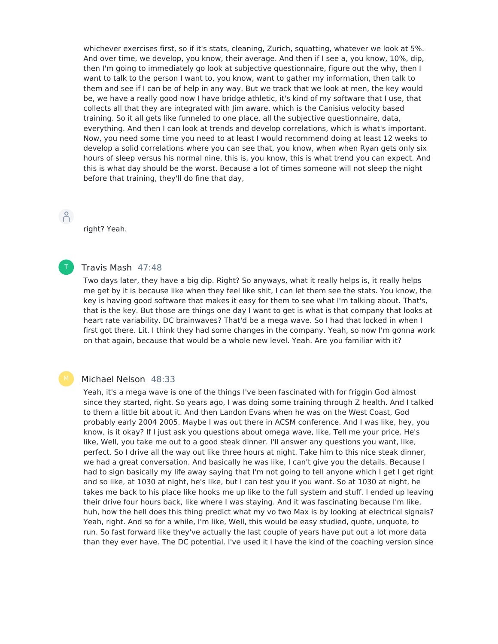whichever exercises first, so if it's stats, cleaning, Zurich, squatting, whatever we look at 5%. And over time, we develop, you know, their average. And then if I see a, you know, 10%, dip, then I'm going to immediately go look at subjective questionnaire, figure out the why, then I want to talk to the person I want to, you know, want to gather my information, then talk to them and see if I can be of help in any way. But we track that we look at men, the key would be, we have a really good now I have bridge athletic, it's kind of my software that I use, that collects all that they are integrated with Jim aware, which is the Canisius velocity based training. So it all gets like funneled to one place, all the subjective questionnaire, data, everything. And then I can look at trends and develop correlations, which is what's important. Now, you need some time you need to at least I would recommend doing at least 12 weeks to develop a solid correlations where you can see that, you know, when when Ryan gets only six hours of sleep versus his normal nine, this is, you know, this is what trend you can expect. And this is what day should be the worst. Because a lot of times someone will not sleep the night before that training, they'll do fine that day,

 $\bigcap^{\circ}$ 

right? Yeah.

#### Travis Mash 47:48 T

Two days later, they have a big dip. Right? So anyways, what it really helps is, it really helps me get by it is because like when they feel like shit, I can let them see the stats. You know, the key is having good software that makes it easy for them to see what I'm talking about. That's, that is the key. But those are things one day I want to get is what is that company that looks at heart rate variability. DC brainwaves? That'd be a mega wave. So I had that locked in when I first got there. Lit. I think they had some changes in the company. Yeah, so now I'm gonna work on that again, because that would be a whole new level. Yeah. Are you familiar with it?

## Michael Nelson 48:33

Yeah, it's a mega wave is one of the things I've been fascinated with for friggin God almost since they started, right. So years ago, I was doing some training through Z health. And I talked to them a little bit about it. And then Landon Evans when he was on the West Coast, God probably early 2004 2005. Maybe I was out there in ACSM conference. And I was like, hey, you know, is it okay? If I just ask you questions about omega wave, like, Tell me your price. He's like, Well, you take me out to a good steak dinner. I'll answer any questions you want, like, perfect. So I drive all the way out like three hours at night. Take him to this nice steak dinner, we had a great conversation. And basically he was like, I can't give you the details. Because I had to sign basically my life away saying that I'm not going to tell anyone which I get I get right and so like, at 1030 at night, he's like, but I can test you if you want. So at 1030 at night, he takes me back to his place like hooks me up like to the full system and stuff. I ended up leaving their drive four hours back, like where I was staying. And it was fascinating because I'm like, huh, how the hell does this thing predict what my vo two Max is by looking at electrical signals? Yeah, right. And so for a while, I'm like, Well, this would be easy studied, quote, unquote, to run. So fast forward like they've actually the last couple of years have put out a lot more data than they ever have. The DC potential. I've used it I have the kind of the coaching version since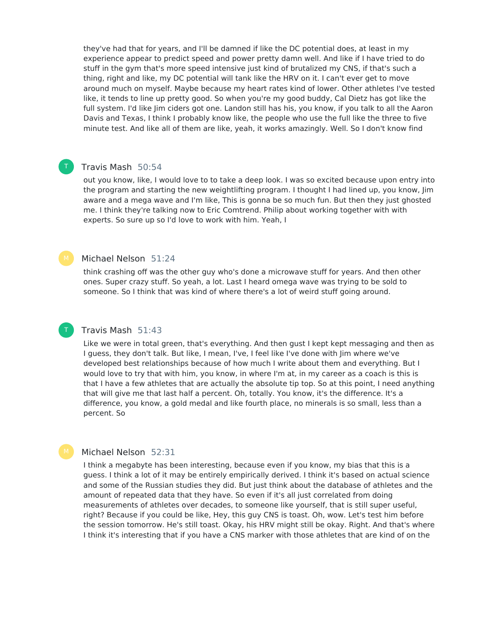they've had that for years, and I'll be damned if like the DC potential does, at least in my experience appear to predict speed and power pretty damn well. And like if I have tried to do stuff in the gym that's more speed intensive just kind of brutalized my CNS, if that's such a thing, right and like, my DC potential will tank like the HRV on it. I can't ever get to move around much on myself. Maybe because my heart rates kind of lower. Other athletes I've tested like, it tends to line up pretty good. So when you're my good buddy, Cal Dietz has got like the full system. I'd like Jim ciders got one. Landon still has his, you know, if you talk to all the Aaron Davis and Texas, I think I probably know like, the people who use the full like the three to five minute test. And like all of them are like, yeah, it works amazingly. Well. So I don't know find

## Travis Mash 50:54

T

T

out you know, like, I would love to to take a deep look. I was so excited because upon entry into the program and starting the new weightlifting program. I thought I had lined up, you know, Jim aware and a mega wave and I'm like, This is gonna be so much fun. But then they just ghosted me. I think they're talking now to Eric Comtrend. Philip about working together with with experts. So sure up so I'd love to work with him. Yeah, I

#### Michael Nelson 51:24

think crashing off was the other guy who's done a microwave stuff for years. And then other ones. Super crazy stuff. So yeah, a lot. Last I heard omega wave was trying to be sold to someone. So I think that was kind of where there's a lot of weird stuff going around.

#### Travis Mash 51:43

Like we were in total green, that's everything. And then gust I kept kept messaging and then as I guess, they don't talk. But like, I mean, I've, I feel like I've done with Jim where we've developed best relationships because of how much I write about them and everything. But I would love to try that with him, you know, in where I'm at, in my career as a coach is this is that I have a few athletes that are actually the absolute tip top. So at this point, I need anything that will give me that last half a percent. Oh, totally. You know, it's the difference. It's a difference, you know, a gold medal and like fourth place, no minerals is so small, less than a percent. So

#### Michael Nelson 52:31

I think a megabyte has been interesting, because even if you know, my bias that this is a guess. I think a lot of it may be entirely empirically derived. I think it's based on actual science and some of the Russian studies they did. But just think about the database of athletes and the amount of repeated data that they have. So even if it's all just correlated from doing measurements of athletes over decades, to someone like yourself, that is still super useful, right? Because if you could be like, Hey, this guy CNS is toast. Oh, wow. Let's test him before the session tomorrow. He's still toast. Okay, his HRV might still be okay. Right. And that's where I think it's interesting that if you have a CNS marker with those athletes that are kind of on the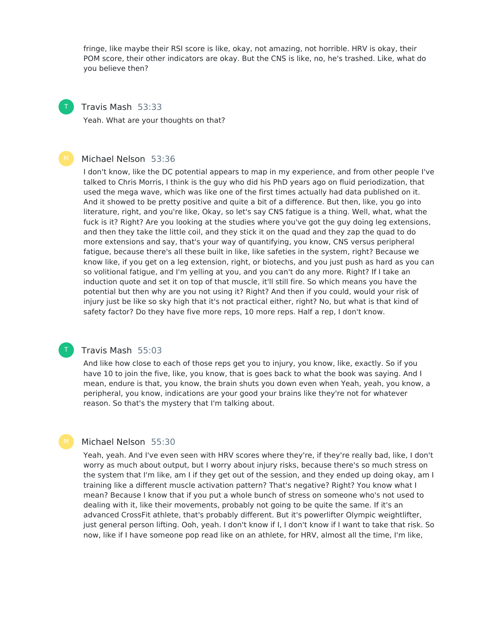fringe, like maybe their RSI score is like, okay, not amazing, not horrible. HRV is okay, their POM score, their other indicators are okay. But the CNS is like, no, he's trashed. Like, what do you believe then?



#### Travis Mash 53:33

Yeah. What are your thoughts on that?

#### Michael Nelson 53:36

I don't know, like the DC potential appears to map in my experience, and from other people I've talked to Chris Morris, I think is the guy who did his PhD years ago on fluid periodization, that used the mega wave, which was like one of the first times actually had data published on it. And it showed to be pretty positive and quite a bit of a difference. But then, like, you go into literature, right, and you're like, Okay, so let's say CNS fatigue is a thing. Well, what, what the fuck is it? Right? Are you looking at the studies where you've got the guy doing leg extensions, and then they take the little coil, and they stick it on the quad and they zap the quad to do more extensions and say, that's your way of quantifying, you know, CNS versus peripheral fatigue, because there's all these built in like, like safeties in the system, right? Because we know like, if you get on a leg extension, right, or biotechs, and you just push as hard as you can so volitional fatigue, and I'm yelling at you, and you can't do any more. Right? If I take an induction quote and set it on top of that muscle, it'll still fire. So which means you have the potential but then why are you not using it? Right? And then if you could, would your risk of injury just be like so sky high that it's not practical either, right? No, but what is that kind of safety factor? Do they have five more reps, 10 more reps. Half a rep, I don't know.



#### Travis Mash 55:03

And like how close to each of those reps get you to injury, you know, like, exactly. So if you have 10 to join the five, like, you know, that is goes back to what the book was saying. And I mean, endure is that, you know, the brain shuts you down even when Yeah, yeah, you know, a peripheral, you know, indications are your good your brains like they're not for whatever reason. So that's the mystery that I'm talking about.

#### Michael Nelson 55:30

Yeah, yeah. And I've even seen with HRV scores where they're, if they're really bad, like, I don't worry as much about output, but I worry about injury risks, because there's so much stress on the system that I'm like, am I if they get out of the session, and they ended up doing okay, am I training like a different muscle activation pattern? That's negative? Right? You know what I mean? Because I know that if you put a whole bunch of stress on someone who's not used to dealing with it, like their movements, probably not going to be quite the same. If it's an advanced CrossFit athlete, that's probably different. But it's powerlifter Olympic weightlifter, just general person lifting. Ooh, yeah. I don't know if I, I don't know if I want to take that risk. So now, like if I have someone pop read like on an athlete, for HRV, almost all the time, I'm like,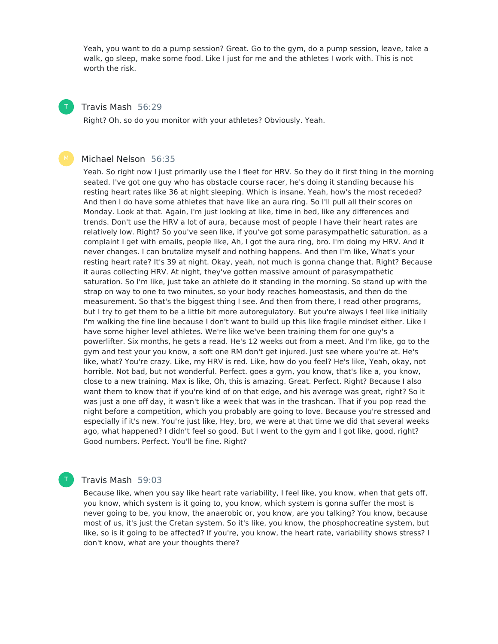Yeah, you want to do a pump session? Great. Go to the gym, do a pump session, leave, take a walk, go sleep, make some food. Like I just for me and the athletes I work with. This is not worth the risk.

#### Travis Mash 56:29 T

Right? Oh, so do you monitor with your athletes? Obviously. Yeah.

#### Michael Nelson 56:35

Yeah. So right now I just primarily use the I fleet for HRV. So they do it first thing in the morning seated. I've got one guy who has obstacle course racer, he's doing it standing because his resting heart rates like 36 at night sleeping. Which is insane. Yeah, how's the most receded? And then I do have some athletes that have like an aura ring. So I'll pull all their scores on Monday. Look at that. Again, I'm just looking at like, time in bed, like any differences and trends. Don't use the HRV a lot of aura, because most of people I have their heart rates are relatively low. Right? So you've seen like, if you've got some parasympathetic saturation, as a complaint I get with emails, people like, Ah, I got the aura ring, bro. I'm doing my HRV. And it never changes. I can brutalize myself and nothing happens. And then I'm like, What's your resting heart rate? It's 39 at night. Okay, yeah, not much is gonna change that. Right? Because it auras collecting HRV. At night, they've gotten massive amount of parasympathetic saturation. So I'm like, just take an athlete do it standing in the morning. So stand up with the strap on way to one to two minutes, so your body reaches homeostasis, and then do the measurement. So that's the biggest thing I see. And then from there, I read other programs, but I try to get them to be a little bit more autoregulatory. But you're always I feel like initially I'm walking the fine line because I don't want to build up this like fragile mindset either. Like I have some higher level athletes. We're like we've been training them for one guy's a powerlifter. Six months, he gets a read. He's 12 weeks out from a meet. And I'm like, go to the gym and test your you know, a soft one RM don't get injured. Just see where you're at. He's like, what? You're crazy. Like, my HRV is red. Like, how do you feel? He's like, Yeah, okay, not horrible. Not bad, but not wonderful. Perfect. goes a gym, you know, that's like a, you know, close to a new training. Max is like, Oh, this is amazing. Great. Perfect. Right? Because I also want them to know that if you're kind of on that edge, and his average was great, right? So it was just a one off day, it wasn't like a week that was in the trashcan. That if you pop read the night before a competition, which you probably are going to love. Because you're stressed and especially if it's new. You're just like, Hey, bro, we were at that time we did that several weeks ago, what happened? I didn't feel so good. But I went to the gym and I got like, good, right? Good numbers. Perfect. You'll be fine. Right?

### Travis Mash 59:03

T

Because like, when you say like heart rate variability, I feel like, you know, when that gets off, you know, which system is it going to, you know, which system is gonna suffer the most is never going to be, you know, the anaerobic or, you know, are you talking? You know, because most of us, it's just the Cretan system. So it's like, you know, the phosphocreatine system, but like, so is it going to be affected? If you're, you know, the heart rate, variability shows stress? I don't know, what are your thoughts there?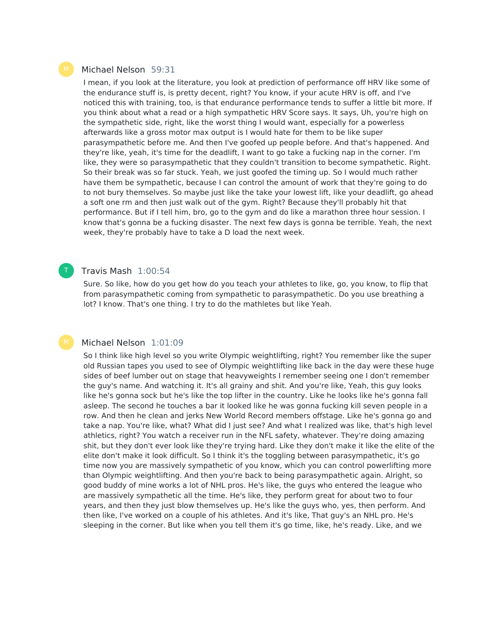#### Michael Nelson 59:31

I mean, if you look at the literature, you look at prediction of performance off HRV like some of the endurance stuff is, is pretty decent, right? You know, if your acute HRV is off, and I've noticed this with training, too, is that endurance performance tends to suffer a little bit more. If you think about what a read or a high sympathetic HRV Score says. It says, Uh, you're high on the sympathetic side, right, like the worst thing I would want, especially for a powerless afterwards like a gross motor max output is I would hate for them to be like super parasympathetic before me. And then I've goofed up people before. And that's happened. And they're like, yeah, it's time for the deadlift, I want to go take a fucking nap in the corner. I'm like, they were so parasympathetic that they couldn't transition to become sympathetic. Right. So their break was so far stuck. Yeah, we just goofed the timing up. So I would much rather have them be sympathetic, because I can control the amount of work that they're going to do to not bury themselves. So maybe just like the take your lowest lift, like your deadlift, go ahead a soft one rm and then just walk out of the gym. Right? Because they'll probably hit that performance. But if I tell him, bro, go to the gym and do like a marathon three hour session. I know that's gonna be a fucking disaster. The next few days is gonna be terrible. Yeah, the next week, they're probably have to take a D load the next week.

#### Travis Mash 1:00:54

Sure. So like, how do you get how do you teach your athletes to like, go, you know, to flip that from parasympathetic coming from sympathetic to parasympathetic. Do you use breathing a lot? I know. That's one thing. I try to do the mathletes but like Yeah.

#### Michael Nelson 1:01:09

So I think like high level so you write Olympic weightlifting, right? You remember like the super old Russian tapes you used to see of Olympic weightlifting like back in the day were these huge sides of beef lumber out on stage that heavyweights I remember seeing one I don't remember the guy's name. And watching it. It's all grainy and shit. And you're like, Yeah, this guy looks like he's gonna sock but he's like the top lifter in the country. Like he looks like he's gonna fall asleep. The second he touches a bar it looked like he was gonna fucking kill seven people in a row. And then he clean and jerks New World Record members offstage. Like he's gonna go and take a nap. You're like, what? What did I just see? And what I realized was like, that's high level athletics, right? You watch a receiver run in the NFL safety, whatever. They're doing amazing shit, but they don't ever look like they're trying hard. Like they don't make it like the elite of the elite don't make it look difficult. So I think it's the toggling between parasympathetic, it's go time now you are massively sympathetic of you know, which you can control powerlifting more than Olympic weightlifting. And then you're back to being parasympathetic again. Alright, so good buddy of mine works a lot of NHL pros. He's like, the guys who entered the league who are massively sympathetic all the time. He's like, they perform great for about two to four years, and then they just blow themselves up. He's like the guys who, yes, then perform. And then like, I've worked on a couple of his athletes. And it's like, That guy's an NHL pro. He's sleeping in the corner. But like when you tell them it's go time, like, he's ready. Like, and we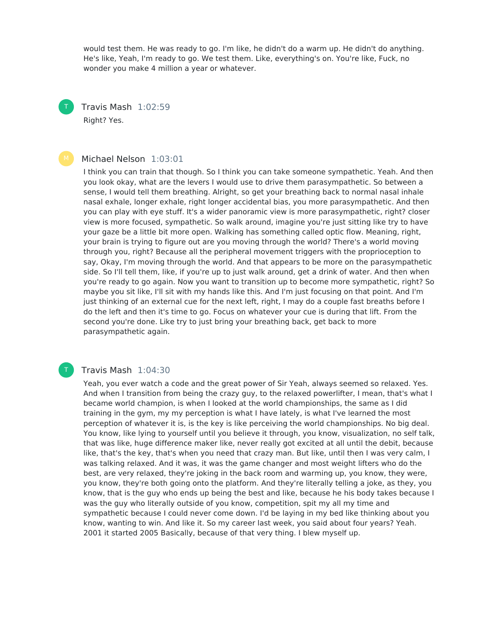would test them. He was ready to go. I'm like, he didn't do a warm up. He didn't do anything. He's like, Yeah, I'm ready to go. We test them. Like, everything's on. You're like, Fuck, no wonder you make 4 million a year or whatever.

Travis Mash 1:02:59 Right? Yes.

#### Michael Nelson 1:03:01

I think you can train that though. So I think you can take someone sympathetic. Yeah. And then you look okay, what are the levers I would use to drive them parasympathetic. So between a sense, I would tell them breathing. Alright, so get your breathing back to normal nasal inhale nasal exhale, longer exhale, right longer accidental bias, you more parasympathetic. And then you can play with eye stuff. It's a wider panoramic view is more parasympathetic, right? closer view is more focused, sympathetic. So walk around, imagine you're just sitting like try to have your gaze be a little bit more open. Walking has something called optic flow. Meaning, right, your brain is trying to figure out are you moving through the world? There's a world moving through you, right? Because all the peripheral movement triggers with the proprioception to say, Okay, I'm moving through the world. And that appears to be more on the parasympathetic side. So I'll tell them, like, if you're up to just walk around, get a drink of water. And then when you're ready to go again. Now you want to transition up to become more sympathetic, right? So maybe you sit like, I'll sit with my hands like this. And I'm just focusing on that point. And I'm just thinking of an external cue for the next left, right, I may do a couple fast breaths before I do the left and then it's time to go. Focus on whatever your cue is during that lift. From the second you're done. Like try to just bring your breathing back, get back to more parasympathetic again.

#### Travis Mash 1:04:30

Yeah, you ever watch a code and the great power of Sir Yeah, always seemed so relaxed. Yes. And when I transition from being the crazy guy, to the relaxed powerlifter, I mean, that's what I became world champion, is when I looked at the world championships, the same as I did training in the gym, my my perception is what I have lately, is what I've learned the most perception of whatever it is, is the key is like perceiving the world championships. No big deal. You know, like lying to yourself until you believe it through, you know, visualization, no self talk, that was like, huge difference maker like, never really got excited at all until the debit, because like, that's the key, that's when you need that crazy man. But like, until then I was very calm, I was talking relaxed. And it was, it was the game changer and most weight lifters who do the best, are very relaxed, they're joking in the back room and warming up, you know, they were, you know, they're both going onto the platform. And they're literally telling a joke, as they, you know, that is the guy who ends up being the best and like, because he his body takes because I was the guy who literally outside of you know, competition, spit my all my time and sympathetic because I could never come down. I'd be laying in my bed like thinking about you know, wanting to win. And like it. So my career last week, you said about four years? Yeah. 2001 it started 2005 Basically, because of that very thing. I blew myself up.

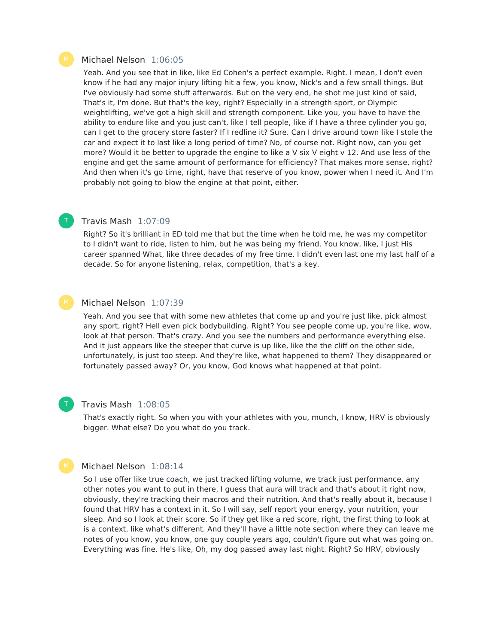#### Michael Nelson 1:06:05

Yeah. And you see that in like, like Ed Cohen's a perfect example. Right. I mean, I don't even know if he had any major injury lifting hit a few, you know, Nick's and a few small things. But I've obviously had some stuff afterwards. But on the very end, he shot me just kind of said, That's it, I'm done. But that's the key, right? Especially in a strength sport, or Olympic weightlifting, we've got a high skill and strength component. Like you, you have to have the ability to endure like and you just can't, like I tell people, like if I have a three cylinder you go, can I get to the grocery store faster? If I redline it? Sure. Can I drive around town like I stole the car and expect it to last like a long period of time? No, of course not. Right now, can you get more? Would it be better to upgrade the engine to like a V six V eight v 12. And use less of the engine and get the same amount of performance for efficiency? That makes more sense, right? And then when it's go time, right, have that reserve of you know, power when I need it. And I'm probably not going to blow the engine at that point, either.

#### Travis Mash 1:07:09

Right? So it's brilliant in ED told me that but the time when he told me, he was my competitor to I didn't want to ride, listen to him, but he was being my friend. You know, like, I just His career spanned What, like three decades of my free time. I didn't even last one my last half of a decade. So for anyone listening, relax, competition, that's a key.

#### Michael Nelson 1:07:39

Yeah. And you see that with some new athletes that come up and you're just like, pick almost any sport, right? Hell even pick bodybuilding. Right? You see people come up, you're like, wow, look at that person. That's crazy. And you see the numbers and performance everything else. And it just appears like the steeper that curve is up like, like the the cliff on the other side, unfortunately, is just too steep. And they're like, what happened to them? They disappeared or fortunately passed away? Or, you know, God knows what happened at that point.

## T

#### Travis Mash 1:08:05

That's exactly right. So when you with your athletes with you, munch, I know, HRV is obviously bigger. What else? Do you what do you track.

#### Michael Nelson 1:08:14

So I use offer like true coach, we just tracked lifting volume, we track just performance, any other notes you want to put in there, I guess that aura will track and that's about it right now, obviously, they're tracking their macros and their nutrition. And that's really about it, because I found that HRV has a context in it. So I will say, self report your energy, your nutrition, your sleep. And so I look at their score. So if they get like a red score, right, the first thing to look at is a context, like what's different. And they'll have a little note section where they can leave me notes of you know, you know, one guy couple years ago, couldn't figure out what was going on. Everything was fine. He's like, Oh, my dog passed away last night. Right? So HRV, obviously

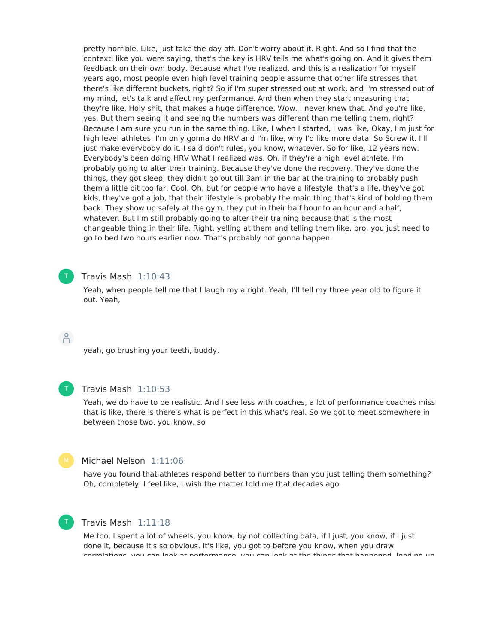pretty horrible. Like, just take the day off. Don't worry about it. Right. And so I find that the context, like you were saying, that's the key is HRV tells me what's going on. And it gives them feedback on their own body. Because what I've realized, and this is a realization for myself years ago, most people even high level training people assume that other life stresses that there's like different buckets, right? So if I'm super stressed out at work, and I'm stressed out of my mind, let's talk and affect my performance. And then when they start measuring that they're like, Holy shit, that makes a huge difference. Wow. I never knew that. And you're like, yes. But them seeing it and seeing the numbers was different than me telling them, right? Because I am sure you run in the same thing. Like, I when I started, I was like, Okay, I'm just for high level athletes. I'm only gonna do HRV and I'm like, why I'd like more data. So Screw it. I'll just make everybody do it. I said don't rules, you know, whatever. So for like, 12 years now. Everybody's been doing HRV What I realized was, Oh, if they're a high level athlete, I'm probably going to alter their training. Because they've done the recovery. They've done the things, they got sleep, they didn't go out till 3am in the bar at the training to probably push them a little bit too far. Cool. Oh, but for people who have a lifestyle, that's a life, they've got kids, they've got a job, that their lifestyle is probably the main thing that's kind of holding them back. They show up safely at the gym, they put in their half hour to an hour and a half, whatever. But I'm still probably going to alter their training because that is the most changeable thing in their life. Right, yelling at them and telling them like, bro, you just need to go to bed two hours earlier now. That's probably not gonna happen.

## T

#### Travis Mash 1:10:43

Yeah, when people tell me that I laugh my alright. Yeah, I'll tell my three year old to figure it out. Yeah,

## $\bigcap^{\circ}$

yeah, go brushing your teeth, buddy.



#### Travis Mash 1:10:53

Yeah, we do have to be realistic. And I see less with coaches, a lot of performance coaches miss that is like, there is there's what is perfect in this what's real. So we got to meet somewhere in between those two, you know, so



## Michael Nelson 1:11:06

have you found that athletes respond better to numbers than you just telling them something? Oh, completely. I feel like, I wish the matter told me that decades ago.



## Travis Mash 1:11:18

Me too, I spent a lot of wheels, you know, by not collecting data, if I just, you know, if I just done it, because it's so obvious. It's like, you got to before you know, when you draw correlations, you can look at performance, you can look at the things that happened, leading up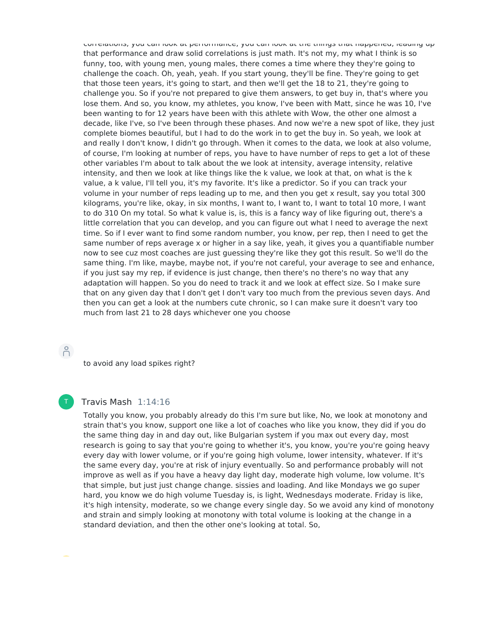correlations, you can look at performance, you can look at the things that happened, leading up that performance and draw solid correlations is just math. It's not my, my what I think is so funny, too, with young men, young males, there comes a time where they they're going to challenge the coach. Oh, yeah, yeah. If you start young, they'll be fine. They're going to get that those teen years, it's going to start, and then we'll get the 18 to 21, they're going to challenge you. So if you're not prepared to give them answers, to get buy in, that's where you lose them. And so, you know, my athletes, you know, I've been with Matt, since he was 10, I've been wanting to for 12 years have been with this athlete with Wow, the other one almost a decade, like I've, so I've been through these phases. And now we're a new spot of like, they just complete biomes beautiful, but I had to do the work in to get the buy in. So yeah, we look at and really I don't know, I didn't go through. When it comes to the data, we look at also volume, of course, I'm looking at number of reps, you have to have number of reps to get a lot of these other variables I'm about to talk about the we look at intensity, average intensity, relative intensity, and then we look at like things like the k value, we look at that, on what is the k value, a k value, I'll tell you, it's my favorite. It's like a predictor. So if you can track your volume in your number of reps leading up to me, and then you get x result, say you total 300 kilograms, you're like, okay, in six months, I want to, I want to, I want to total 10 more, I want to do 310 On my total. So what k value is, is, this is a fancy way of like figuring out, there's a little correlation that you can develop, and you can figure out what I need to average the next time. So if I ever want to find some random number, you know, per rep, then I need to get the same number of reps average x or higher in a say like, yeah, it gives you a quantifiable number now to see cuz most coaches are just guessing they're like they got this result. So we'll do the same thing. I'm like, maybe, maybe not, if you're not careful, your average to see and enhance, if you just say my rep, if evidence is just change, then there's no there's no way that any adaptation will happen. So you do need to track it and we look at effect size. So I make sure that on any given day that I don't get I don't vary too much from the previous seven days. And then you can get a look at the numbers cute chronic, so I can make sure it doesn't vary too much from last 21 to 28 days whichever one you choose

# $\bigcap^{\circ}$

to avoid any load spikes right?

# T

### Travis Mash 1:14:16

Totally you know, you probably already do this I'm sure but like, No, we look at monotony and strain that's you know, support one like a lot of coaches who like you know, they did if you do the same thing day in and day out, like Bulgarian system if you max out every day, most research is going to say that you're going to whether it's, you know, you're you're going heavy every day with lower volume, or if you're going high volume, lower intensity, whatever. If it's the same every day, you're at risk of injury eventually. So and performance probably will not improve as well as if you have a heavy day light day, moderate high volume, low volume. It's that simple, but just just change change. sissies and loading. And like Mondays we go super hard, you know we do high volume Tuesday is, is light, Wednesdays moderate. Friday is like, it's high intensity, moderate, so we change every single day. So we avoid any kind of monotony and strain and simply looking at monotony with total volume is looking at the change in a standard deviation, and then the other one's looking at total. So,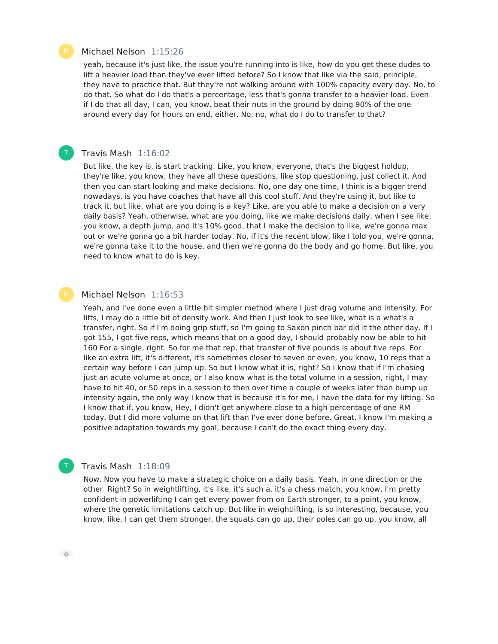#### Michael Nelson 1:15:26

yeah, because it's just like, the issue you're running into is like, how do you get these dudes to lift a heavier load than they've ever lifted before? So I know that like via the said, principle, they have to practice that. But they're not walking around with 100% capacity every day. No, to do that. So what do I do that's a percentage, less that's gonna transfer to a heavier load. Even if I do that all day, I can, you know, beat their nuts in the ground by doing 90% of the one around every day for hours on end, either. No, no, what do I do to transfer to that?

#### Travis Mash 1:16:02

T

But like, the key is, is start tracking. Like, you know, everyone, that's the biggest holdup, they're like, you know, they have all these questions, like stop questioning, just collect it. And then you can start looking and make decisions. No, one day one time, I think is a bigger trend nowadays, is you have coaches that have all this cool stuff. And they're using it, but like to track it, but like, what are you doing is a key? Like, are you able to make a decision on a very daily basis? Yeah, otherwise, what are you doing, like we make decisions daily, when I see like, you know, a depth jump, and it's 10% good, that I make the decision to like, we're gonna max out or we're gonna go a bit harder today. No, if it's the recent blow, like I told you, we're gonna, we're gonna take it to the house, and then we're gonna do the body and go home. But like, you need to know what to do is key.

#### Michael Nelson 1:16:53

Yeah, and I've done even a little bit simpler method where I just drag volume and intensity. For lifts, I may do a little bit of density work. And then I just look to see like, what is a what's a transfer, right. So if I'm doing grip stuff, so I'm going to Saxon pinch bar did it the other day. If I got 155, I got five reps, which means that on a good day, I should probably now be able to hit 160 For a single, right. So for me that rep, that transfer of five pounds is about five reps. For like an extra lift, it's different, it's sometimes closer to seven or even, you know, 10 reps that a certain way before I can jump up. So but I know what it is, right? So I know that if I'm chasing just an acute volume at once, or I also know what is the total volume in a session, right, I may have to hit 40, or 50 reps in a session to then over time a couple of weeks later than bump up intensity again, the only way I know that is because it's for me, I have the data for my lifting. So I know that if, you know, Hey, I didn't get anywhere close to a high percentage of one RM today. But I did more volume on that lift than I've ever done before. Great. I know I'm making a positive adaptation towards my goal, because I can't do the exact thing every day.

#### Travis Mash 1:18:09

Now. Now you have to make a strategic choice on a daily basis. Yeah, in one direction or the other. Right? So in weightlifting, it's like, it's such a, it's a chess match, you know, I'm pretty confident in powerlifting I can get every power from on Earth stronger, to a point, you know, where the genetic limitations catch up. But like in weightlifting, is so interesting, because, you know, like, I can get them stronger, the squats can go up, their poles can go up, you know, all



 $\circ$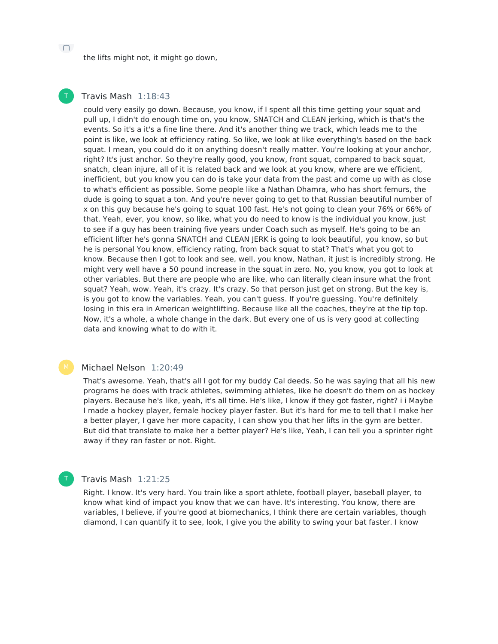the lifts might not, it might go down,

#### Travis Mash 1:18:43 T

could very easily go down. Because, you know, if I spent all this time getting your squat and pull up, I didn't do enough time on, you know, SNATCH and CLEAN jerking, which is that's the events. So it's a it's a fine line there. And it's another thing we track, which leads me to the point is like, we look at efficiency rating. So like, we look at like everything's based on the back squat. I mean, you could do it on anything doesn't really matter. You're looking at your anchor, right? It's just anchor. So they're really good, you know, front squat, compared to back squat, snatch, clean injure, all of it is related back and we look at you know, where are we efficient, inefficient, but you know you can do is take your data from the past and come up with as close to what's efficient as possible. Some people like a Nathan Dhamra, who has short femurs, the dude is going to squat a ton. And you're never going to get to that Russian beautiful number of x on this guy because he's going to squat 100 fast. He's not going to clean your 76% or 66% of that. Yeah, ever, you know, so like, what you do need to know is the individual you know, just to see if a guy has been training five years under Coach such as myself. He's going to be an efficient lifter he's gonna SNATCH and CLEAN JERK is going to look beautiful, you know, so but he is personal You know, efficiency rating, from back squat to stat? That's what you got to know. Because then I got to look and see, well, you know, Nathan, it just is incredibly strong. He might very well have a 50 pound increase in the squat in zero. No, you know, you got to look at other variables. But there are people who are like, who can literally clean insure what the front squat? Yeah, wow. Yeah, it's crazy. It's crazy. So that person just get on strong. But the key is, is you got to know the variables. Yeah, you can't guess. If you're guessing. You're definitely losing in this era in American weightlifting. Because like all the coaches, they're at the tip top. Now, it's a whole, a whole change in the dark. But every one of us is very good at collecting data and knowing what to do with it.

#### Michael Nelson 1:20:49

That's awesome. Yeah, that's all I got for my buddy Cal deeds. So he was saying that all his new programs he does with track athletes, swimming athletes, like he doesn't do them on as hockey players. Because he's like, yeah, it's all time. He's like, I know if they got faster, right? i i Maybe I made a hockey player, female hockey player faster. But it's hard for me to tell that I make her a better player, I gave her more capacity, I can show you that her lifts in the gym are better. But did that translate to make her a better player? He's like, Yeah, I can tell you a sprinter right away if they ran faster or not. Right.

#### Travis Mash 1:21:25

T

Right. I know. It's very hard. You train like a sport athlete, football player, baseball player, to know what kind of impact you know that we can have. It's interesting. You know, there are variables, I believe, if you're good at biomechanics, I think there are certain variables, though diamond, I can quantify it to see, look, I give you the ability to swing your bat faster. I know

 $\cup$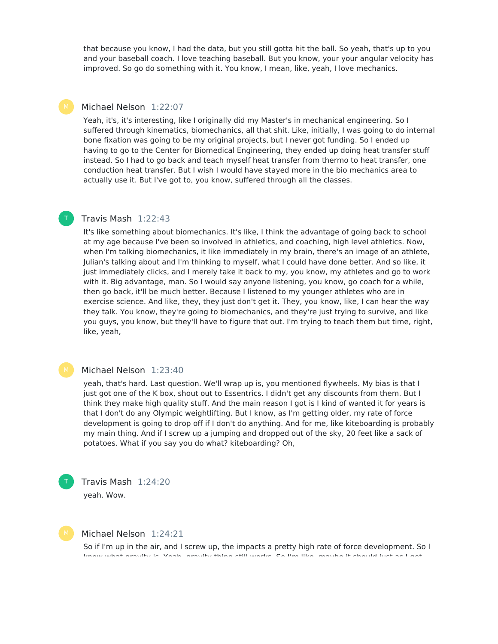that because you know, I had the data, but you still gotta hit the ball. So yeah, that's up to you and your baseball coach. I love teaching baseball. But you know, your your angular velocity has improved. So go do something with it. You know, I mean, like, yeah, I love mechanics.

#### Michael Nelson 1:22:07

Yeah, it's, it's interesting, like I originally did my Master's in mechanical engineering. So I suffered through kinematics, biomechanics, all that shit. Like, initially, I was going to do internal bone fixation was going to be my original projects, but I never got funding. So I ended up having to go to the Center for Biomedical Engineering, they ended up doing heat transfer stuff instead. So I had to go back and teach myself heat transfer from thermo to heat transfer, one conduction heat transfer. But I wish I would have stayed more in the bio mechanics area to actually use it. But I've got to, you know, suffered through all the classes.

## Travis Mash 1:22:43

T

It's like something about biomechanics. It's like, I think the advantage of going back to school at my age because I've been so involved in athletics, and coaching, high level athletics. Now, when I'm talking biomechanics, it like immediately in my brain, there's an image of an athlete, Julian's talking about and I'm thinking to myself, what I could have done better. And so like, it just immediately clicks, and I merely take it back to my, you know, my athletes and go to work with it. Big advantage, man. So I would say anyone listening, you know, go coach for a while, then go back, it'll be much better. Because I listened to my younger athletes who are in exercise science. And like, they, they just don't get it. They, you know, like, I can hear the way they talk. You know, they're going to biomechanics, and they're just trying to survive, and like you guys, you know, but they'll have to figure that out. I'm trying to teach them but time, right, like, yeah,

#### Michael Nelson 1:23:40

yeah, that's hard. Last question. We'll wrap up is, you mentioned flywheels. My bias is that I just got one of the K box, shout out to Essentrics. I didn't get any discounts from them. But I think they make high quality stuff. And the main reason I got is I kind of wanted it for years is that I don't do any Olympic weightlifting. But I know, as I'm getting older, my rate of force development is going to drop off if I don't do anything. And for me, like kiteboarding is probably my main thing. And if I screw up a jumping and dropped out of the sky, 20 feet like a sack of potatoes. What if you say you do what? kiteboarding? Oh,





T

### Michael Nelson 1:24:21

So if I'm up in the air, and I screw up, the impacts a pretty high rate of force development. So I know what gravity is. Yeah, gravity thing still works. So I'm like, maybe it should just as I get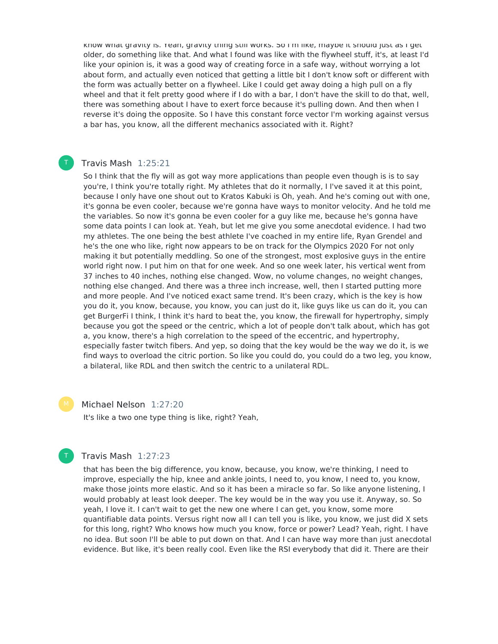know what gravity is. Yeah, gravity thing still works. So I'm like, maybe it should just as I get older, do something like that. And what I found was like with the flywheel stuff, it's, at least I'd like your opinion is, it was a good way of creating force in a safe way, without worrying a lot about form, and actually even noticed that getting a little bit I don't know soft or different with the form was actually better on a flywheel. Like I could get away doing a high pull on a fly wheel and that it felt pretty good where if I do with a bar, I don't have the skill to do that, well, there was something about I have to exert force because it's pulling down. And then when I reverse it's doing the opposite. So I have this constant force vector I'm working against versus a bar has, you know, all the different mechanics associated with it. Right?

## Travis Mash 1:25:21

T

So I think that the fly will as got way more applications than people even though is is to say you're, I think you're totally right. My athletes that do it normally, I I've saved it at this point, because I only have one shout out to Kratos Kabuki is Oh, yeah. And he's coming out with one, it's gonna be even cooler, because we're gonna have ways to monitor velocity. And he told me the variables. So now it's gonna be even cooler for a guy like me, because he's gonna have some data points I can look at. Yeah, but let me give you some anecdotal evidence. I had two my athletes. The one being the best athlete I've coached in my entire life, Ryan Grendel and he's the one who like, right now appears to be on track for the Olympics 2020 For not only making it but potentially meddling. So one of the strongest, most explosive guys in the entire world right now. I put him on that for one week. And so one week later, his vertical went from 37 inches to 40 inches, nothing else changed. Wow, no volume changes, no weight changes, nothing else changed. And there was a three inch increase, well, then I started putting more and more people. And I've noticed exact same trend. It's been crazy, which is the key is how you do it, you know, because, you know, you can just do it, like guys like us can do it, you can get BurgerFi I think, I think it's hard to beat the, you know, the firewall for hypertrophy, simply because you got the speed or the centric, which a lot of people don't talk about, which has got a, you know, there's a high correlation to the speed of the eccentric, and hypertrophy, especially faster twitch fibers. And yep, so doing that the key would be the way we do it, is we find ways to overload the citric portion. So like you could do, you could do a two leg, you know, a bilateral, like RDL and then switch the centric to a unilateral RDL.

Michael Nelson 1:27:20

It's like a two one type thing is like, right? Yeah,



## Travis Mash 1:27:23

that has been the big difference, you know, because, you know, we're thinking, I need to improve, especially the hip, knee and ankle joints, I need to, you know, I need to, you know, make those joints more elastic. And so it has been a miracle so far. So like anyone listening, I would probably at least look deeper. The key would be in the way you use it. Anyway, so. So yeah, I love it. I can't wait to get the new one where I can get, you know, some more quantifiable data points. Versus right now all I can tell you is like, you know, we just did X sets for this long, right? Who knows how much you know, force or power? Lead? Yeah, right. I have no idea. But soon I'll be able to put down on that. And I can have way more than just anecdotal evidence. But like, it's been really cool. Even like the RSI everybody that did it. There are their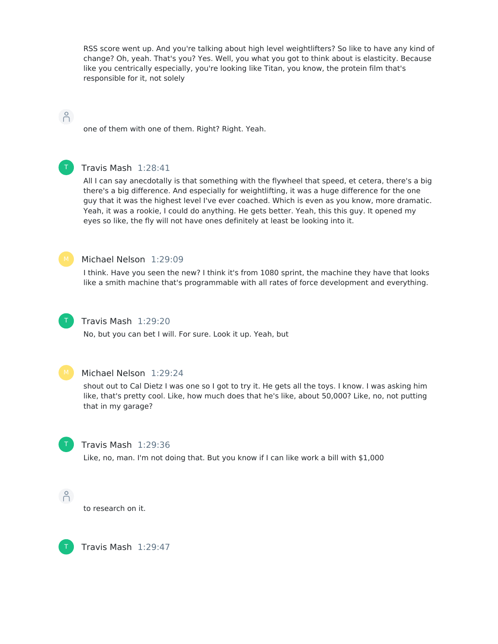RSS score went up. And you're talking about high level weightlifters? So like to have any kind of change? Oh, yeah. That's you? Yes. Well, you what you got to think about is elasticity. Because like you centrically especially, you're looking like Titan, you know, the protein film that's responsible for it, not solely

## $\beta$

one of them with one of them. Right? Right. Yeah.



## Travis Mash 1:28:41

All I can say anecdotally is that something with the flywheel that speed, et cetera, there's a big there's a big difference. And especially for weightlifting, it was a huge difference for the one guy that it was the highest level I've ever coached. Which is even as you know, more dramatic. Yeah, it was a rookie, I could do anything. He gets better. Yeah, this this guy. It opened my eyes so like, the fly will not have ones definitely at least be looking into it.



#### Michael Nelson 1:29:09

I think. Have you seen the new? I think it's from 1080 sprint, the machine they have that looks like a smith machine that's programmable with all rates of force development and everything.



## Travis Mash 1:29:20

No, but you can bet I will. For sure. Look it up. Yeah, but



#### Michael Nelson 1:29:24

shout out to Cal Dietz I was one so I got to try it. He gets all the toys. I know. I was asking him like, that's pretty cool. Like, how much does that he's like, about 50,000? Like, no, not putting that in my garage?



#### Travis Mash 1:29:36

Like, no, man. I'm not doing that. But you know if I can like work a bill with \$1,000



to research on it.



Travis Mash 1:29:47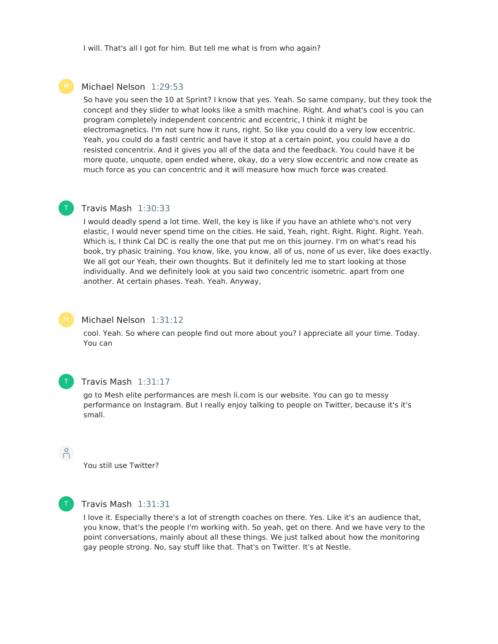I will. That's all I got for him. But tell me what is from who again?

### Michael Nelson 1:29:53

So have you seen the 10 at Sprint? I know that yes. Yeah. So same company, but they took the concept and they slider to what looks like a smith machine. Right. And what's cool is you can program completely independent concentric and eccentric, I think it might be electromagnetics. I'm not sure how it runs, right. So like you could do a very low eccentric. Yeah, you could do a fastI centric and have it stop at a certain point, you could have a do resisted concentrix. And it gives you all of the data and the feedback. You could have it be more quote, unquote, open ended where, okay, do a very slow eccentric and now create as much force as you can concentric and it will measure how much force was created.

#### Travis Mash 1:30:33 T

I would deadly spend a lot time. Well, the key is like if you have an athlete who's not very elastic, I would never spend time on the cities. He said, Yeah, right. Right. Right. Right. Yeah. Which is, I think Cal DC is really the one that put me on this journey. I'm on what's read his book, try phasic training. You know, like, you know, all of us, none of us ever, like does exactly. We all got our Yeah, their own thoughts. But it definitely led me to start looking at those individually. And we definitely look at you said two concentric isometric. apart from one another. At certain phases. Yeah. Yeah. Anyway,



#### Michael Nelson 1:31:12

cool. Yeah. So where can people find out more about you? I appreciate all your time. Today. You can



#### Travis Mash 1:31:17

go to Mesh elite performances are mesh li.com is our website. You can go to messy performance on Instagram. But I really enjoy talking to people on Twitter, because it's it's small.

You still use Twitter?



 $\beta$ 

#### Travis Mash 1:31:31

I love it. Especially there's a lot of strength coaches on there. Yes. Like it's an audience that, you know, that's the people I'm working with. So yeah, get on there. And we have very to the point conversations, mainly about all these things. We just talked about how the monitoring gay people strong. No, say stuff like that. That's on Twitter. It's at Nestle.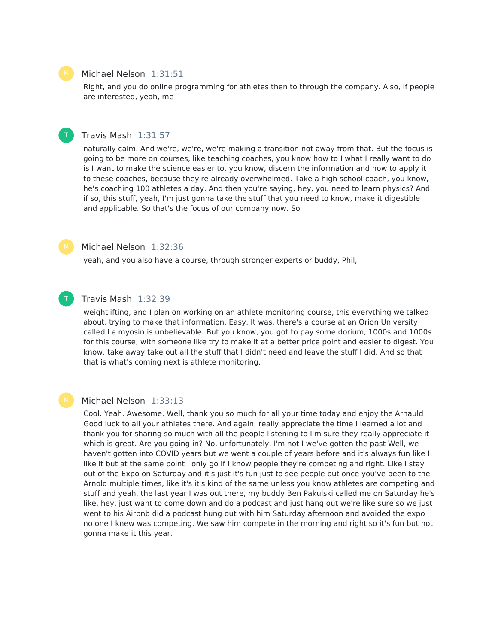### Michael Nelson 1:31:51

Right, and you do online programming for athletes then to through the company. Also, if people are interested, yeah, me

## T

#### Travis Mash 1:31:57

naturally calm. And we're, we're, we're making a transition not away from that. But the focus is going to be more on courses, like teaching coaches, you know how to I what I really want to do is I want to make the science easier to, you know, discern the information and how to apply it to these coaches, because they're already overwhelmed. Take a high school coach, you know, he's coaching 100 athletes a day. And then you're saying, hey, you need to learn physics? And if so, this stuff, yeah, I'm just gonna take the stuff that you need to know, make it digestible and applicable. So that's the focus of our company now. So

#### Michael Nelson 1:32:36

yeah, and you also have a course, through stronger experts or buddy, Phil,

## Travis Mash 1:32:39

weightlifting, and I plan on working on an athlete monitoring course, this everything we talked about, trying to make that information. Easy. It was, there's a course at an Orion University called Le myosin is unbelievable. But you know, you got to pay some dorium, 1000s and 1000s for this course, with someone like try to make it at a better price point and easier to digest. You know, take away take out all the stuff that I didn't need and leave the stuff I did. And so that that is what's coming next is athlete monitoring.

T

#### Michael Nelson 1:33:13

Cool. Yeah. Awesome. Well, thank you so much for all your time today and enjoy the Arnauld Good luck to all your athletes there. And again, really appreciate the time I learned a lot and thank you for sharing so much with all the people listening to I'm sure they really appreciate it which is great. Are you going in? No, unfortunately, I'm not I we've gotten the past Well, we haven't gotten into COVID years but we went a couple of years before and it's always fun like I like it but at the same point I only go if I know people they're competing and right. Like I stay out of the Expo on Saturday and it's just it's fun just to see people but once you've been to the Arnold multiple times, like it's it's kind of the same unless you know athletes are competing and stuff and yeah, the last year I was out there, my buddy Ben Pakulski called me on Saturday he's like, hey, just want to come down and do a podcast and just hang out we're like sure so we just went to his Airbnb did a podcast hung out with him Saturday afternoon and avoided the expo no one I knew was competing. We saw him compete in the morning and right so it's fun but not gonna make it this year.

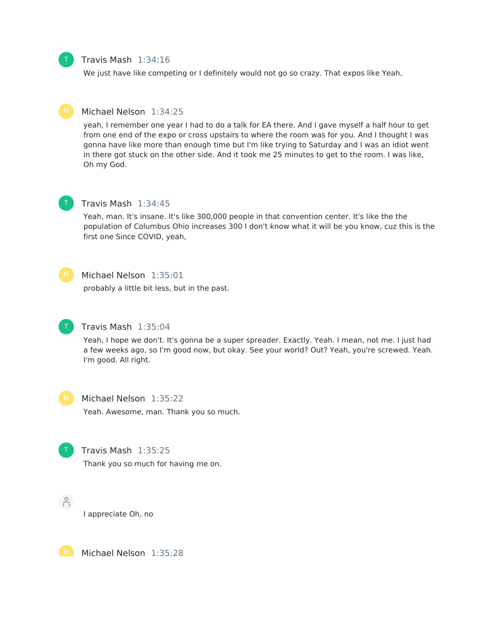## Travis Mash 1:34:16

We just have like competing or I definitely would not go so crazy. That expos like Yeah,

## Michael Nelson 1:34:25

yeah, I remember one year I had to do a talk for EA there. And I gave myself a half hour to get from one end of the expo or cross upstairs to where the room was for you. And I thought I was gonna have like more than enough time but I'm like trying to Saturday and I was an idiot went in there got stuck on the other side. And it took me 25 minutes to get to the room. I was like, Oh my God.



T

#### Travis Mash 1:34:45

Yeah, man. It's insane. It's like 300,000 people in that convention center. It's like the the population of Columbus Ohio increases 300 I don't know what it will be you know, cuz this is the first one Since COVID, yeah,



#### Michael Nelson 1:35:01

probably a little bit less, but in the past.



#### Travis Mash 1:35:04

Yeah, I hope we don't. It's gonna be a super spreader. Exactly. Yeah. I mean, not me. I just had a few weeks ago, so I'm good now, but okay. See your world? Out? Yeah, you're screwed. Yeah. I'm good. All right.



#### Michael Nelson 1:35:22

Yeah. Awesome, man. Thank you so much.



#### Travis Mash 1:35:25

Thank you so much for having me on.



I appreciate Oh, no



Michael Nelson 1:35:28